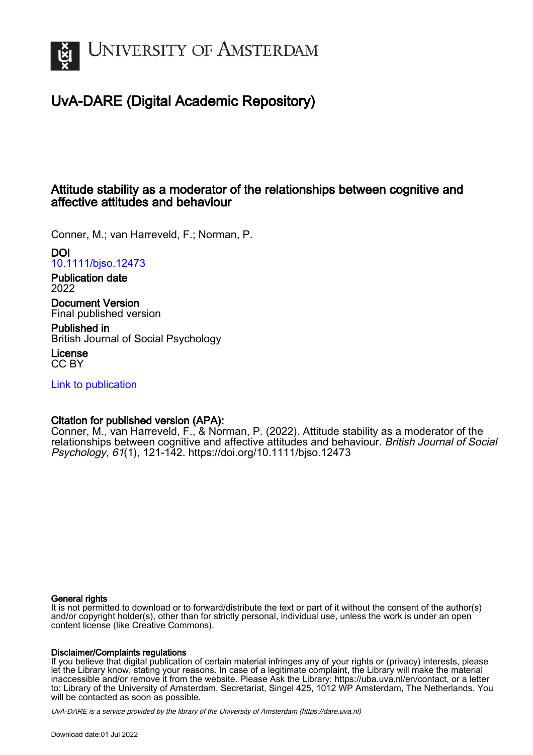

# UvA-DARE (Digital Academic Repository)

# Attitude stability as a moderator of the relationships between cognitive and affective attitudes and behaviour

Conner, M.; van Harreveld, F.; Norman, P.

DOI [10.1111/bjso.12473](https://doi.org/10.1111/bjso.12473)

Publication date 2022

Document Version Final published version

Published in British Journal of Social Psychology

License CC BY

[Link to publication](https://dare.uva.nl/personal/pure/en/publications/attitude-stability-as-a-moderator-of-the-relationships-between-cognitive-and-affective-attitudes-and-behaviour(f40fcdb6-4415-4089-832c-d68e028002f5).html)

# Citation for published version (APA):

Conner, M., van Harreveld, F., & Norman, P. (2022). Attitude stability as a moderator of the relationships between cognitive and affective attitudes and behaviour. British Journal of Social Psychology, 61(1), 121-142.<https://doi.org/10.1111/bjso.12473>

# General rights

It is not permitted to download or to forward/distribute the text or part of it without the consent of the author(s) and/or copyright holder(s), other than for strictly personal, individual use, unless the work is under an open content license (like Creative Commons).

# Disclaimer/Complaints regulations

If you believe that digital publication of certain material infringes any of your rights or (privacy) interests, please let the Library know, stating your reasons. In case of a legitimate complaint, the Library will make the material inaccessible and/or remove it from the website. Please Ask the Library: https://uba.uva.nl/en/contact, or a letter to: Library of the University of Amsterdam, Secretariat, Singel 425, 1012 WP Amsterdam, The Netherlands. You will be contacted as soon as possible.

UvA-DARE is a service provided by the library of the University of Amsterdam (http*s*://dare.uva.nl)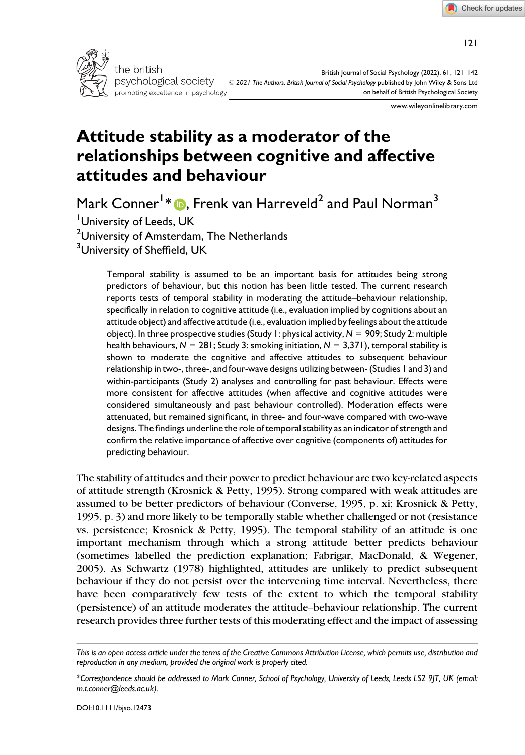

British Journal of Social Psychology (2022), 61, 121–142 psychological society © 2021 The Authors. British Journal of Social Psychology published by John Wiley & Sons Ltd promoting excellence in psychology on behalf of British Psychological Society

www.wileyonlinelibrary.com

# Attitude stability as a moderator of the relationships between cognitive and affective attitudes and behaviour

Mark Conner1 \* , Frenk van Harreveld<sup>2</sup> and Paul Norman<sup>3</sup>

<sup>1</sup>University of Leeds, UK

 $^2$ University of Amsterdam, The Netherlands

<sup>3</sup>University of Sheffield, UK

Temporal stability is assumed to be an important basis for attitudes being strong predictors of behaviour, but this notion has been little tested. The current research reports tests of temporal stability in moderating the attitude–behaviour relationship, specifically in relation to cognitive attitude (i.e., evaluation implied by cognitions about an attitude object) and affective attitude (i.e., evaluation implied by feelings about the attitude object). In three prospective studies (Study 1: physical activity,  $N = 909$ ; Study 2: multiple health behaviours,  $N = 281$ ; Study 3: smoking initiation,  $N = 3,371$ ), temporal stability is shown to moderate the cognitive and affective attitudes to subsequent behaviour relationship in two-, three-, and four-wave designs utilizing between- (Studies 1 and 3) and within-participants (Study 2) analyses and controlling for past behaviour. Effects were more consistent for affective attitudes (when affective and cognitive attitudes were considered simultaneously and past behaviour controlled). Moderation effects were attenuated, but remained significant, in three- and four-wave compared with two-wave designs. The findings underline the role of temporal stability as an indicator of strength and confirm the relative importance of affective over cognitive (components of) attitudes for predicting behaviour.

The stability of attitudes and their power to predict behaviour are two key-related aspects of attitude strength (Krosnick & Petty, 1995). Strong compared with weak attitudes are assumed to be better predictors of behaviour (Converse, 1995, p. xi; Krosnick & Petty, 1995, p. 3) and more likely to be temporally stable whether challenged or not (resistance vs. persistence; Krosnick & Petty, 1995). The temporal stability of an attitude is one important mechanism through which a strong attitude better predicts behaviour (sometimes labelled the prediction explanation; Fabrigar, MacDonald, & Wegener, 2005). As Schwartz (1978) highlighted, attitudes are unlikely to predict subsequent behaviour if they do not persist over the intervening time interval. Nevertheless, there have been comparatively few tests of the extent to which the temporal stability (persistence) of an attitude moderates the attitude–behaviour relationship. The current research provides three further tests of this moderating effect and the impact of assessing

This is an open access article under the terms of the [Creative Commons Attribution](http://creativecommons.org/licenses/by/4.0/) License, which permits use, distribution and reproduction in any medium, provided the original work is properly cited.

<sup>\*</sup>Correspondence should be addressed to Mark Conner, School of Psychology, University of Leeds, Leeds LS2 9JT, UK (email: [m.t.conner@leeds.ac.uk](mailto:)).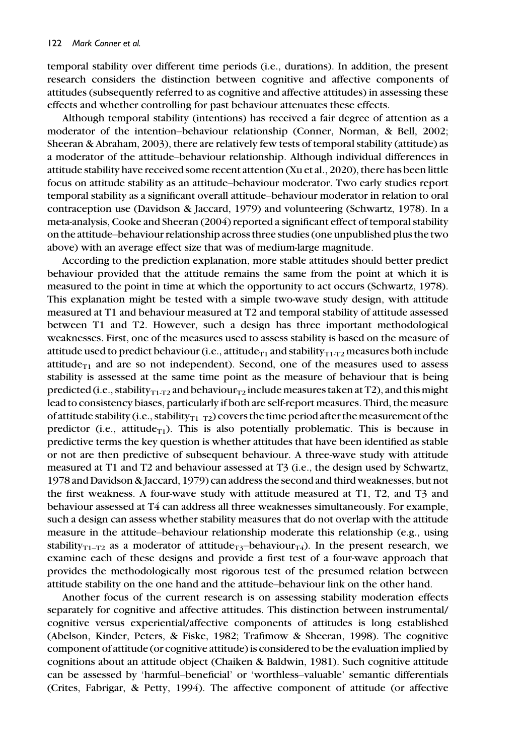temporal stability over different time periods (i.e., durations). In addition, the present research considers the distinction between cognitive and affective components of attitudes (subsequently referred to as cognitive and affective attitudes) in assessing these effects and whether controlling for past behaviour attenuates these effects.

Although temporal stability (intentions) has received a fair degree of attention as a moderator of the intention–behaviour relationship (Conner, Norman, & Bell, 2002; Sheeran & Abraham, 2003), there are relatively few tests of temporal stability (attitude) as a moderator of the attitude–behaviour relationship. Although individual differences in attitude stability have received some recent attention (Xu et al., 2020), there has been little focus on attitude stability as an attitude–behaviour moderator. Two early studies report temporal stability as a significant overall attitude–behaviour moderator in relation to oral contraception use (Davidson & Jaccard, 1979) and volunteering (Schwartz, 1978). In a meta-analysis, Cooke and Sheeran (2004) reported a significant effect of temporal stability on the attitude–behaviour relationship across three studies (one unpublished plus the two above) with an average effect size that was of medium-large magnitude.

According to the prediction explanation, more stable attitudes should better predict behaviour provided that the attitude remains the same from the point at which it is measured to the point in time at which the opportunity to act occurs (Schwartz, 1978). This explanation might be tested with a simple two-wave study design, with attitude measured at T1 and behaviour measured at T2 and temporal stability of attitude assessed between T1 and T2. However, such a design has three important methodological weaknesses. First, one of the measures used to assess stability is based on the measure of attitude used to predict behaviour (i.e., attitude $_{T1}$  and stability $_{T1-T2}$  measures both include attitude $_{T_1}$  and are so not independent). Second, one of the measures used to assess stability is assessed at the same time point as the measure of behaviour that is being predicted (i.e., stability  $_{T1-T2}$  and behaviour  $_{T2}$  include measures taken at T2), and this might lead to consistency biases, particularly if both are self-report measures. Third, the measure of attitude stability (i.e., stability $_{T1-T2}$ ) covers the time period after the measurement of the predictor (i.e., attitude $_{T1}$ ). This is also potentially problematic. This is because in predictive terms the key question is whether attitudes that have been identified as stable or not are then predictive of subsequent behaviour. A three-wave study with attitude measured at T1 and T2 and behaviour assessed at T3 (i.e., the design used by Schwartz, 1978 and Davidson & Jaccard, 1979) can address the second and third weaknesses, but not the first weakness. A four-wave study with attitude measured at T1, T2, and T3 and behaviour assessed at T4 can address all three weaknesses simultaneously. For example, such a design can assess whether stability measures that do not overlap with the attitude measure in the attitude–behaviour relationship moderate this relationship (e.g., using stability<sub>T1–T2</sub> as a moderator of attitude<sub>T3</sub>–behaviour<sub>T4</sub>). In the present research, we examine each of these designs and provide a first test of a four-wave approach that provides the methodologically most rigorous test of the presumed relation between attitude stability on the one hand and the attitude–behaviour link on the other hand.

Another focus of the current research is on assessing stability moderation effects separately for cognitive and affective attitudes. This distinction between instrumental/ cognitive versus experiential/affective components of attitudes is long established (Abelson, Kinder, Peters, & Fiske, 1982; Trafimow & Sheeran, 1998). The cognitive component of attitude (or cognitive attitude) is considered to be the evaluation implied by cognitions about an attitude object (Chaiken & Baldwin, 1981). Such cognitive attitude can be assessed by 'harmful–beneficial' or 'worthless–valuable' semantic differentials (Crites, Fabrigar, & Petty, 1994). The affective component of attitude (or affective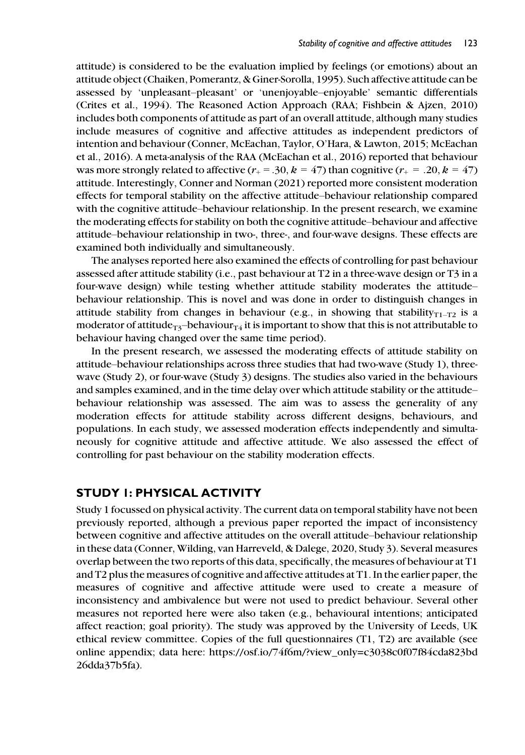attitude) is considered to be the evaluation implied by feelings (or emotions) about an attitude object (Chaiken, Pomerantz, & Giner-Sorolla, 1995). Such affective attitude can be assessed by 'unpleasant–pleasant' or 'unenjoyable–enjoyable' semantic differentials (Crites et al., 1994). The Reasoned Action Approach (RAA; Fishbein & Ajzen, 2010) includes both components of attitude as part of an overall attitude, although many studies include measures of cognitive and affective attitudes as independent predictors of intention and behaviour (Conner, McEachan, Taylor, O'Hara, & Lawton, 2015; McEachan et al., 2016). A meta-analysis of the RAA (McEachan et al., 2016) reported that behaviour was more strongly related to affective  $(r_{+} = .30, k = 47)$  than cognitive  $(r_{+} = .20, k = 47)$ attitude. Interestingly, Conner and Norman (2021) reported more consistent moderation effects for temporal stability on the affective attitude–behaviour relationship compared with the cognitive attitude–behaviour relationship. In the present research, we examine the moderating effects for stability on both the cognitive attitude–behaviour and affective attitude–behaviour relationship in two-, three-, and four-wave designs. These effects are examined both individually and simultaneously.

The analyses reported here also examined the effects of controlling for past behaviour assessed after attitude stability (i.e., past behaviour at T2 in a three-wave design or T3 in a four-wave design) while testing whether attitude stability moderates the attitude– behaviour relationship. This is novel and was done in order to distinguish changes in attitude stability from changes in behaviour (e.g., in showing that stability $_{T_1-T_2}$  is a moderator of attitude<sub>T3</sub>-behaviour<sub>T4</sub> it is important to show that this is not attributable to behaviour having changed over the same time period).

In the present research, we assessed the moderating effects of attitude stability on attitude–behaviour relationships across three studies that had two-wave (Study 1), threewave (Study 2), or four-wave (Study 3) designs. The studies also varied in the behaviours and samples examined, and in the time delay over which attitude stability or the attitude– behaviour relationship was assessed. The aim was to assess the generality of any moderation effects for attitude stability across different designs, behaviours, and populations. In each study, we assessed moderation effects independently and simultaneously for cognitive attitude and affective attitude. We also assessed the effect of controlling for past behaviour on the stability moderation effects.

# STUDY 1: PHYSICAL ACTIVITY

Study 1 focussed on physical activity. The current data on temporal stability have not been previously reported, although a previous paper reported the impact of inconsistency between cognitive and affective attitudes on the overall attitude–behaviour relationship in these data (Conner, Wilding, van Harreveld, & Dalege, 2020, Study 3). Several measures overlap between the two reports of this data, specifically, the measures of behaviour at T1 and T2 plus the measures of cognitive and affective attitudes at T1. In the earlier paper, the measures of cognitive and affective attitude were used to create a measure of inconsistency and ambivalence but were not used to predict behaviour. Several other measures not reported here were also taken (e.g., behavioural intentions; anticipated affect reaction; goal priority). The study was approved by the University of Leeds, UK ethical review committee. Copies of the full questionnaires (T1, T2) are available (see online appendix; data here: [https://osf.io/74f6m/?view\\_only=c3038c0f07f84cda823bd](https://osf.io/74f6m/?view_only=c3038c0f07f84cda823bd26dda37b5fa) [26dda37b5fa](https://osf.io/74f6m/?view_only=c3038c0f07f84cda823bd26dda37b5fa)).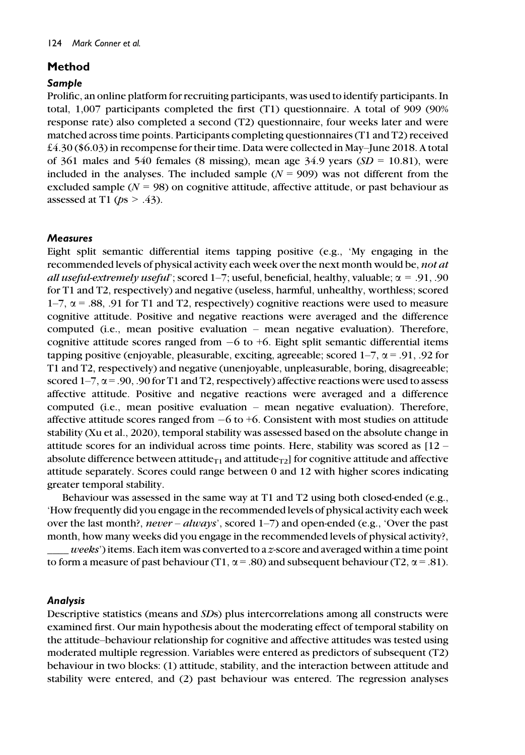# Method

#### Sample

Prolific, an online platform for recruiting participants, was used to identify participants. In total, 1,007 participants completed the first (T1) questionnaire. A total of 909 (90% response rate) also completed a second (T2) questionnaire, four weeks later and were matched across time points. Participants completing questionnaires (T1 and T2) received £4.30 (\$6.03) in recompense for their time. Data were collected in May–June 2018. A total of 361 males and 540 females (8 missing), mean age 34.9 years ( $SD = 10.81$ ), were included in the analyses. The included sample  $(N = 909)$  was not different from the excluded sample ( $N = 98$ ) on cognitive attitude, affective attitude, or past behaviour as assessed at T1 ( $ps > .43$ ).

#### **Measures**

Eight split semantic differential items tapping positive (e.g., 'My engaging in the recommended levels of physical activity each week over the next month would be, not at *all useful-extremely useful'*; scored 1–7; useful, beneficial, healthy, valuable;  $\alpha = .91, .90$ for T1 and T2, respectively) and negative (useless, harmful, unhealthy, worthless; scored  $1-7$ ,  $\alpha$  = .88, .91 for T1 and T2, respectively) cognitive reactions were used to measure cognitive attitude. Positive and negative reactions were averaged and the difference computed (i.e., mean positive evaluation – mean negative evaluation). Therefore, cognitive attitude scores ranged from  $-6$  to  $+6$ . Eight split semantic differential items tapping positive (enjoyable, pleasurable, exciting, agreeable; scored  $1-7$ ,  $\alpha = .91$ , .92 for T1 and T2, respectively) and negative (unenjoyable, unpleasurable, boring, disagreeable; scored  $1-7$ ,  $\alpha$  = .90, .90 for T1 and T2, respectively) affective reactions were used to assess affective attitude. Positive and negative reactions were averaged and a difference computed (i.e., mean positive evaluation – mean negative evaluation). Therefore, affective attitude scores ranged from  $-6$  to  $+6$ . Consistent with most studies on attitude stability (Xu et al., 2020), temporal stability was assessed based on the absolute change in attitude scores for an individual across time points. Here, stability was scored as [12 – absolute difference between attitude<sub>T1</sub> and attitude<sub>T2</sub>] for cognitive attitude and affective attitude separately. Scores could range between 0 and 12 with higher scores indicating greater temporal stability.

Behaviour was assessed in the same way at T1 and T2 using both closed-ended (e.g., 'How frequently did you engage in the recommended levels of physical activity each week over the last month?, *never – always*', scored  $1-7$ ) and open-ended (e.g., 'Over the past month, how many weeks did you engage in the recommended levels of physical activity?,  $weeks'$ ) items. Each item was converted to a z-score and averaged within a time point to form a measure of past behaviour (T1,  $\alpha$  = .80) and subsequent behaviour (T2,  $\alpha$  = .81).

#### Analysis

Descriptive statistics (means and SDs) plus intercorrelations among all constructs were examined first. Our main hypothesis about the moderating effect of temporal stability on the attitude–behaviour relationship for cognitive and affective attitudes was tested using moderated multiple regression. Variables were entered as predictors of subsequent (T2) behaviour in two blocks: (1) attitude, stability, and the interaction between attitude and stability were entered, and (2) past behaviour was entered. The regression analyses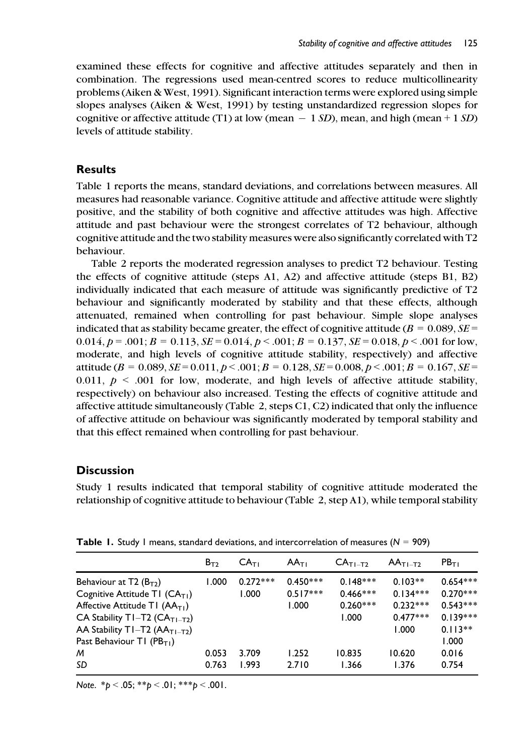examined these effects for cognitive and affective attitudes separately and then in combination. The regressions used mean-centred scores to reduce multicollinearity problems (Aiken & West, 1991). Significant interaction terms were explored using simple slopes analyses (Aiken & West, 1991) by testing unstandardized regression slopes for cognitive or affective attitude (T1) at low (mean  $-1$  SD), mean, and high (mean  $+1$  SD) levels of attitude stability.

# Results

Table 1 reports the means, standard deviations, and correlations between measures. All measures had reasonable variance. Cognitive attitude and affective attitude were slightly positive, and the stability of both cognitive and affective attitudes was high. Affective attitude and past behaviour were the strongest correlates of T2 behaviour, although cognitive attitude and the two stability measures were also significantly correlated with T2 behaviour.

Table 2 reports the moderated regression analyses to predict T2 behaviour. Testing the effects of cognitive attitude (steps A1, A2) and affective attitude (steps B1, B2) individually indicated that each measure of attitude was significantly predictive of T2 behaviour and significantly moderated by stability and that these effects, although attenuated, remained when controlling for past behaviour. Simple slope analyses indicated that as stability became greater, the effect of cognitive attitude ( $B = 0.089$ ,  $SE =$  $0.014, p = .001; B = 0.113, SE = 0.014, p < .001; B = 0.137, SE = 0.018, p < .001$  for low, moderate, and high levels of cognitive attitude stability, respectively) and affective attitude ( $B = 0.089$ ,  $SE = 0.011$ ,  $p < .001$ ;  $B = 0.128$ ,  $SE = 0.008$ ,  $p < .001$ ;  $B = 0.167$ ,  $SE =$ 0.011,  $p < .001$  for low, moderate, and high levels of affective attitude stability, respectively) on behaviour also increased. Testing the effects of cognitive attitude and affective attitude simultaneously (Table 2, steps C1, C2) indicated that only the influence of affective attitude on behaviour was significantly moderated by temporal stability and that this effect remained when controlling for past behaviour.

#### **Discussion**

Study 1 results indicated that temporal stability of cognitive attitude moderated the relationship of cognitive attitude to behaviour (Table 2, step A1), while temporal stability

|                                           | $B_{T2}$ | CA <sub>T1</sub> | $AA_{TI}$  | $CAT1-T2$  | $AA$ <sub>TI<math>-</math>T2</sub> | PB <sub>T1</sub> |
|-------------------------------------------|----------|------------------|------------|------------|------------------------------------|------------------|
| Behaviour at T2 $(BT2)$                   | 1.000    | $0.272***$       | $0.450***$ | $0.148***$ | $0.103**$                          | $0.654***$       |
| Cognitive Attitude T1 $(CAT1)$            |          | 1.000            | $0.517***$ | $0.466***$ | $0.134***$                         | $0.270***$       |
| Affective Attitude T1 $(AAT1)$            |          |                  | 0.0001     | $0.260***$ | $0.232***$                         | $0.543***$       |
| CA Stability T1-T2 (CA <sub>T1-T2</sub> ) |          |                  |            | 1.000      | $0.477***$                         | $0.139***$       |
| AA Stability T1-T2 (AA $_{T1-T2}$ )       |          |                  |            |            | 1.000                              | $0.113**$        |
| Past Behaviour T1 (PB <sub>T1</sub> )     |          |                  |            |            |                                    | 1.000            |
| м                                         | 0.053    | 3.709            | 1.252      | 10.835     | 10.620                             | 0.016            |
| SD                                        | 0.763    | 1.993            | 2.710      | 1.366      | 1.376                              | 0.754            |

**Table 1.** Study 1 means, standard deviations, and intercorrelation of measures ( $N = 909$ )

Note.  $* p < .05; ** p < .01; ** p < .001$ .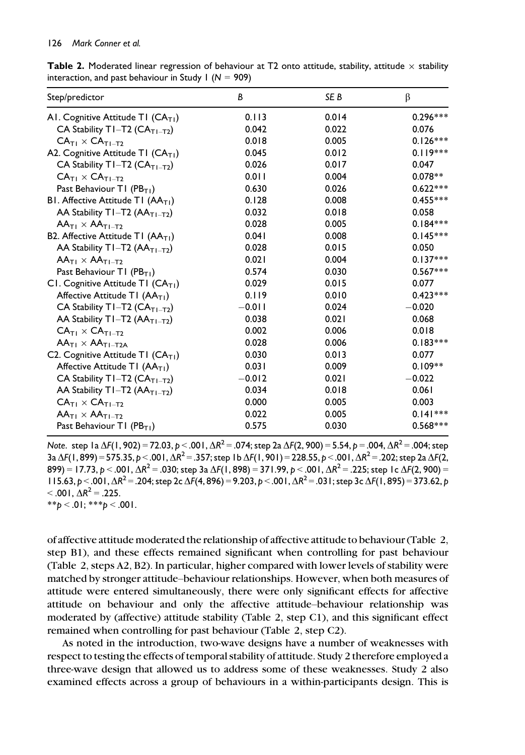**Table 2.** Moderated linear regression of behaviour at T2 onto attitude, stability, attitude  $\times$  stability interaction, and past behaviour in Study 1 ( $N = 909$ )

| Step/predictor                                | B        | SE B  | $\beta$    |
|-----------------------------------------------|----------|-------|------------|
| AI. Cognitive Attitude TI $(CAT1)$            | 0.113    | 0.014 | $0.296***$ |
| CA Stability T1-T2 (CA <sub>T1-T2</sub> )     | 0.042    | 0.022 | 0.076      |
| $CA_{T1} \times CA_{T1-T2}$                   | 0.018    | 0.005 | $0.126***$ |
| A2. Cognitive Attitude T1 (CA <sub>T1</sub> ) | 0.045    | 0.012 | $0.119***$ |
| CA Stability T1-T2 (CA <sub>T1-T2</sub> )     | 0.026    | 0.017 | 0.047      |
| $CA_{T1} \times CA_{T1-T2}$                   | 0.011    | 0.004 | $0.078**$  |
| Past Behaviour T1 (PB <sub>T1</sub> )         | 0.630    | 0.026 | $0.622***$ |
| B1. Affective Attitude T1 $(AAT1)$            | 0.128    | 0.008 | $0.455***$ |
| AA Stability T1-T2 (AA <sub>T1-T2</sub> )     | 0.032    | 0.018 | 0.058      |
| $AA_{T1} \times AA_{T1-T2}$                   | 0.028    | 0.005 | $0.184***$ |
| B2. Affective Attitude T1 $(AAT1)$            | 0.041    | 0.008 | $0.145***$ |
| AA Stability T1-T2 (AA <sub>T1-T2</sub> )     | 0.028    | 0.015 | 0.050      |
| $AA_{T1} \times AA_{T1-T2}$                   | 0.021    | 0.004 | $0.137***$ |
| Past Behaviour T1 ( $PB_{T1}$ )               | 0.574    | 0.030 | $0.567***$ |
| CI. Cognitive Attitude TI (CA <sub>TI</sub> ) | 0.029    | 0.015 | 0.077      |
| Affective Attitude T1 $(AAT1)$                | 0.119    | 0.010 | $0.423***$ |
| CA Stability T1-T2 (CA <sub>T1-T2</sub> )     | $-0.011$ | 0.024 | $-0.020$   |
| AA Stability T1-T2 (AA <sub>T1-T2</sub> )     | 0.038    | 0.021 | 0.068      |
| $CA_{T1} \times CA_{T1-T2}$                   | 0.002    | 0.006 | 0.018      |
| $AA_{T1} \times AA_{T1-T2A}$                  | 0.028    | 0.006 | $0.183***$ |
| C2. Cognitive Attitude T1 (CA <sub>T1</sub> ) | 0.030    | 0.013 | 0.077      |
| Affective Attitude TI (AA <sub>TI</sub> )     | 0.031    | 0.009 | $0.109**$  |
| CA Stability T1-T2 (CA <sub>T1-T2</sub> )     | $-0.012$ | 0.021 | $-0.022$   |
| AA Stability T1-T2 ( $AA$ <sub>T1-T2</sub> )  | 0.034    | 0.018 | 0.061      |
| $CA_{T1} \times CA_{T1-T2}$                   | 0.000    | 0.005 | 0.003      |
| $AA_{T1} \times AA_{T1-T2}$                   | 0.022    | 0.005 | $0.141***$ |
| Past Behaviour T1 (PB <sub>T1</sub> )         | 0.575    | 0.030 | $0.568***$ |

Note. step  $1a \Delta F(1, 902) = 72.03$ ,  $b \le 0.001$ ,  $\Delta R^2 = 0.074$ ; step  $2a \Delta F(2, 900) = 5.54$ ,  $b = 0.004$ ,  $\Delta R^2 = 0.004$ ; step  $3a\Delta F(1, 899) = 575.35, p < .001, \Delta R^2 = .357$ ; step 1b $\Delta F(1, 901) = 228.55, p < .001, \Delta R^2 = .202$ ; step 2a  $\Delta F(2, 1)$ 899) = 17.73, p < .001,  $\Delta R^2$  = .030; step 3a  $\Delta F(1, 898)$  = 371.99, p < .001,  $\Delta R^2$  = .225; step 1c  $\Delta F(2, 900)$  = 115.63, p < .001,  $\Delta R^2$  = .204; step 2c  $\Delta F(4, 896)$  = 9.203, p < .001,  $\Delta R^2$  = .031; step 3c  $\Delta F(1, 895)$  = 373.62, p  $< .001, \Delta R^2 = .225.$ \*\*p < .01; \*\*\*p < .001.

of affective attitude moderated the relationship of affective attitude to behaviour (Table 2, step B1), and these effects remained significant when controlling for past behaviour (Table 2, steps A2, B2). In particular, higher compared with lower levels of stability were matched by stronger attitude–behaviour relationships. However, when both measures of attitude were entered simultaneously, there were only significant effects for affective attitude on behaviour and only the affective attitude–behaviour relationship was moderated by (affective) attitude stability (Table 2, step C1), and this significant effect remained when controlling for past behaviour (Table 2, step C2).

As noted in the introduction, two-wave designs have a number of weaknesses with respect to testing the effects of temporal stability of attitude. Study 2 therefore employed a three-wave design that allowed us to address some of these weaknesses. Study 2 also examined effects across a group of behaviours in a within-participants design. This is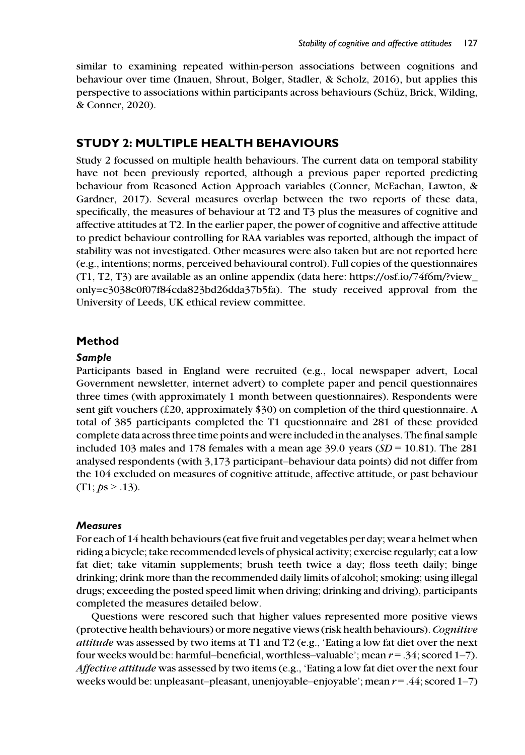similar to examining repeated within-person associations between cognitions and behaviour over time (Inauen, Shrout, Bolger, Stadler, & Scholz, 2016), but applies this perspective to associations within participants across behaviours (Schüz, Brick, Wilding, & Conner, 2020).

#### STUDY 2: MULTIPLE HEALTH BEHAVIOURS

Study 2 focussed on multiple health behaviours. The current data on temporal stability have not been previously reported, although a previous paper reported predicting behaviour from Reasoned Action Approach variables (Conner, McEachan, Lawton, & Gardner, 2017). Several measures overlap between the two reports of these data, specifically, the measures of behaviour at T2 and T3 plus the measures of cognitive and affective attitudes at T2. In the earlier paper, the power of cognitive and affective attitude to predict behaviour controlling for RAA variables was reported, although the impact of stability was not investigated. Other measures were also taken but are not reported here (e.g., intentions; norms, perceived behavioural control). Full copies of the questionnaires (T1, T2, T3) are available as an online appendix (data here: [https://osf.io/74f6m/?view\\_](https://osf.io/74f6m/?view_only=c3038c0f07f84cda823bd26dda37b5fa) [only=c3038c0f07f84cda823bd26dda37b5fa\)](https://osf.io/74f6m/?view_only=c3038c0f07f84cda823bd26dda37b5fa). The study received approval from the University of Leeds, UK ethical review committee.

#### Method

#### Sample

Participants based in England were recruited (e.g., local newspaper advert, Local Government newsletter, internet advert) to complete paper and pencil questionnaires three times (with approximately 1 month between questionnaires). Respondents were sent gift vouchers (£20, approximately \$30) on completion of the third questionnaire. A total of 385 participants completed the T1 questionnaire and 281 of these provided complete data across three time points and were included in the analyses. The final sample included 103 males and 178 females with a mean age 39.0 years ( $SD = 10.81$ ). The 281 analysed respondents (with 3,173 participant–behaviour data points) did not differ from the 104 excluded on measures of cognitive attitude, affective attitude, or past behaviour  $(T1; ps > .13)$ .

#### **Measures**

For each of 14 health behaviours (eat five fruit and vegetables per day; wear a helmet when riding a bicycle; take recommended levels of physical activity; exercise regularly; eat a low fat diet; take vitamin supplements; brush teeth twice a day; floss teeth daily; binge drinking; drink more than the recommended daily limits of alcohol; smoking; using illegal drugs; exceeding the posted speed limit when driving; drinking and driving), participants completed the measures detailed below.

Questions were rescored such that higher values represented more positive views (protective health behaviours) or more negative views (risk health behaviours). Cognitive attitude was assessed by two items at T1 and T2 (e.g., 'Eating a low fat diet over the next four weeks would be: harmful–beneficial, worthless–valuable'; mean  $r = 0.34$ ; scored 1–7). Affective attitude was assessed by two items (e.g., 'Eating a low fat diet over the next four weeks would be: unpleasant–pleasant, unenjoyable–enjoyable'; mean  $r = .44$ ; scored 1–7)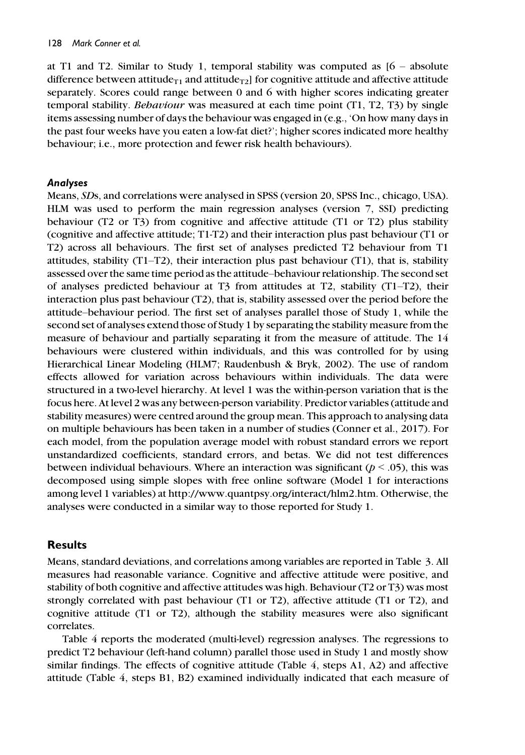at T1 and T2. Similar to Study 1, temporal stability was computed as  $[6 - absolute]$ difference between attitude<sub>T1</sub> and attitude<sub>T2</sub> for cognitive attitude and affective attitude separately. Scores could range between 0 and 6 with higher scores indicating greater temporal stability. Behaviour was measured at each time point (T1, T2, T3) by single items assessing number of days the behaviour was engaged in (e.g., 'On how many days in the past four weeks have you eaten a low-fat diet?'; higher scores indicated more healthy behaviour; i.e., more protection and fewer risk health behaviours).

#### Analyses

Means, SDs, and correlations were analysed in SPSS (version 20, SPSS Inc., chicago, USA). HLM was used to perform the main regression analyses (version 7, SSI) predicting behaviour (T2 or T3) from cognitive and affective attitude (T1 or T2) plus stability (cognitive and affective attitude; T1-T2) and their interaction plus past behaviour (T1 or T2) across all behaviours. The first set of analyses predicted T2 behaviour from T1 attitudes, stability (T1–T2), their interaction plus past behaviour (T1), that is, stability assessed over the same time period as the attitude–behaviour relationship. The second set of analyses predicted behaviour at T3 from attitudes at T2, stability (T1–T2), their interaction plus past behaviour (T2), that is, stability assessed over the period before the attitude–behaviour period. The first set of analyses parallel those of Study 1, while the second set of analyses extend those of Study 1 by separating the stability measure from the measure of behaviour and partially separating it from the measure of attitude. The 14 behaviours were clustered within individuals, and this was controlled for by using Hierarchical Linear Modeling (HLM7; Raudenbush & Bryk, 2002). The use of random effects allowed for variation across behaviours within individuals. The data were structured in a two-level hierarchy. At level 1 was the within-person variation that is the focus here. At level 2 was any between-person variability. Predictor variables (attitude and stability measures) were centred around the group mean. This approach to analysing data on multiple behaviours has been taken in a number of studies (Conner et al., 2017). For each model, from the population average model with robust standard errors we report unstandardized coefficients, standard errors, and betas. We did not test differences between individual behaviours. Where an interaction was significant ( $p < .05$ ), this was decomposed using simple slopes with free online software (Model 1 for interactions among level 1 variables) at [http://www.quantpsy.org/interact/hlm2.htm.](http://www.quantpsy.org/interact/hlm2.htm) Otherwise, the analyses were conducted in a similar way to those reported for Study 1.

# Results

Means, standard deviations, and correlations among variables are reported in Table 3. All measures had reasonable variance. Cognitive and affective attitude were positive, and stability of both cognitive and affective attitudes was high. Behaviour (T2 or T3) was most strongly correlated with past behaviour (T1 or T2), affective attitude (T1 or T2), and cognitive attitude (T1 or T2), although the stability measures were also significant correlates.

Table 4 reports the moderated (multi-level) regression analyses. The regressions to predict T2 behaviour (left-hand column) parallel those used in Study 1 and mostly show similar findings. The effects of cognitive attitude (Table 4, steps A1, A2) and affective attitude (Table 4, steps B1, B2) examined individually indicated that each measure of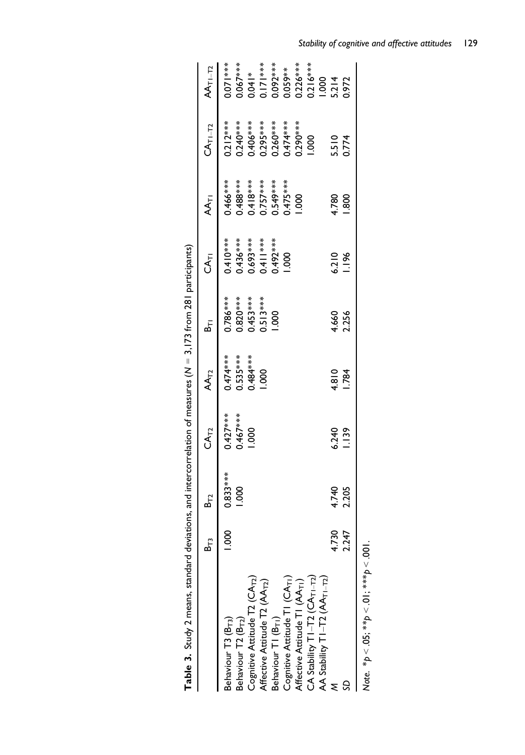| Table 3. Study 2 means, standard deviations, and intercorrelation of measures ( $N = 3,173$ from 281 participants) |                 |                |              |            |            |                   |                                       |              |                           |
|--------------------------------------------------------------------------------------------------------------------|-----------------|----------------|--------------|------------|------------|-------------------|---------------------------------------|--------------|---------------------------|
|                                                                                                                    | ΣL              | <u>&amp;ጉ</u>  | $CA_{T2}$    | $AA_{T2}$  | சு         | Ğī                | $\overline{\mathbf{A}_{\mathsf{T1}}}$ | $CA_{T1-T2}$ | $AA_{T1-T2}$              |
| Behaviour T3 (B <sub>T3</sub> )                                                                                    | 8o              | $0.833***$     | $0.427***$   | $0.474***$ | $0.786***$ | $0.410***$        | $0.466***$                            | $0.212***$   | $0.071***$                |
| Behaviour T2 (B <sub>T2</sub> )                                                                                    |                 | 0001           | $0.467***$   | $0.535***$ | $0.820***$ | $0.436***$        | 1.488****                             | $0.240***$   | $0.067***$                |
| Cognitive Attitude T2 (CA <sub>T2</sub> )                                                                          |                 |                | 1.000        | $0.484***$ | $0.453***$ | 0.693****         | $0.418***$                            | $0.406***$   | $0.041*$                  |
| Affective Attitude T2 (AA <sub>T2</sub> )                                                                          |                 |                |              | 0001       | $0.513***$ | $+ * * - + - + -$ | $0.757***$                            | $0.295***$   | $0.171***$                |
| Behaviour TI (B <sub>TI</sub> )                                                                                    |                 |                |              |            | 1.000      | $0.492***$        | $0.549***$                            | $0.260***$   | $0.092***$                |
| Cognitive Attitude T1 (CA <sub>T1</sub> )                                                                          |                 |                |              |            |            | 0001              | $0.475***$                            | $0.474***$   | $0.059**$                 |
| Affective Attitude T1 (AA <sub>TI</sub> )                                                                          |                 |                |              |            |            |                   | 1.000                                 | $0.290***$   | $0.226***$                |
| $CA$ Stability $T1 - T2$ $(CA_{T1-T2})$                                                                            |                 |                |              |            |            |                   |                                       | 1.000        | $0.216***$                |
| AA Stability T1-T2 (AA <sub>T1-T2</sub> )                                                                          |                 |                |              |            |            |                   |                                       |              |                           |
|                                                                                                                    |                 |                | 6.240        | 4.810      | 4.660      | 6.210             | 4.780                                 | 5.510        | $1.000$<br>5.214<br>0.972 |
|                                                                                                                    | $730$<br>$-247$ | 4.740<br>2.205 | <b>1.139</b> | 1.784      | 2.256      | 1.196             | 1.800                                 | 0.774        |                           |
|                                                                                                                    |                 |                |              |            |            |                   |                                       |              |                           |

| -<br>-<br>-<br>-    |
|---------------------|
|                     |
| ֧֘֜                 |
|                     |
|                     |
|                     |
|                     |
| $\frac{1}{2}$       |
|                     |
|                     |
|                     |
| ll<br>.             |
|                     |
|                     |
|                     |
|                     |
| ייווי היה היה היה ה |
|                     |
|                     |
|                     |
|                     |
|                     |
|                     |
|                     |
|                     |
|                     |
|                     |
|                     |
|                     |
|                     |
|                     |
|                     |
|                     |
|                     |
|                     |
|                     |
|                     |
|                     |
|                     |
|                     |
|                     |
|                     |
|                     |
|                     |
|                     |
|                     |
|                     |
| .<br>'              |
|                     |
|                     |
|                     |
|                     |
| l                   |
|                     |
|                     |
|                     |
| )<br>)<br>)         |
|                     |
| > د مµد.            |
|                     |
|                     |
|                     |
| I                   |

Note. \* $p < 0.05$ ; \*\* $p < 0.1$ ; \*\*\* $p < 0.01$ . Note.  $*$   $p$   $<$  .05;  $*$   $*$   $p$   $<$  .01;  $*$   $*$   $*$   $p$   $<$  .001.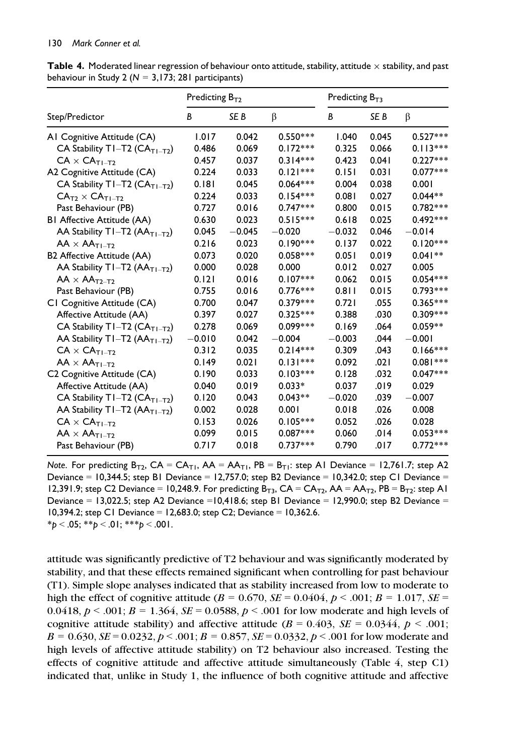|                                              | Predicting $B_{T2}$ |          |            | Predicting $B_{T3}$ |                 |            |
|----------------------------------------------|---------------------|----------|------------|---------------------|-----------------|------------|
| Step/Predictor                               | B                   | SE B     | $\beta$    | B                   | SE <sub>B</sub> | β          |
| AI Cognitive Attitude (CA)                   | 1.017               | 0.042    | $0.550***$ | 1.040               | 0.045           | $0.527***$ |
| CA Stability T1-T2 (CA <sub>T1-T2</sub> )    | 0.486               | 0.069    | $0.172***$ | 0.325               | 0.066           | $0.113***$ |
| $CA \times CAT1-T2$                          | 0.457               | 0.037    | $0.314***$ | 0.423               | 0.041           | $0.227***$ |
| A2 Cognitive Attitude (CA)                   | 0.224               | 0.033    | $0.121***$ | 0.151               | 0.031           | $0.077***$ |
| CA Stability T1-T2 (CA <sub>T1-T2</sub> )    | 0.181               | 0.045    | $0.064***$ | 0.004               | 0.038           | 0.001      |
| $CAT2 \times CAT1-T2$                        | 0.224               | 0.033    | $0.154***$ | 0.081               | 0.027           | $0.044**$  |
| Past Behaviour (PB)                          | 0.727               | 0.016    | $0.747***$ | 0.800               | 0.015           | $0.782***$ |
| BI Affective Attitude (AA)                   | 0.630               | 0.023    | $0.515***$ | 0.618               | 0.025           | $0.492***$ |
| AA Stability T1-T2 ( $AA$ <sub>T1-T2</sub> ) | 0.045               | $-0.045$ | $-0.020$   | $-0.032$            | 0.046           | $-0.014$   |
| $AA \times AA$ <sub>TI-T2</sub>              | 0.216               | 0.023    | $0.190***$ | 0.137               | 0.022           | $0.120***$ |
| B2 Affective Attitude (AA)                   | 0.073               | 0.020    | $0.058***$ | 0.051               | 0.019           | $0.041**$  |
| AA Stability T1-T2 ( $AA_{T1-T2}$ )          | 0.000               | 0.028    | 0.000      | 0.012               | 0.027           | 0.005      |
| $AA \times AA_{T2-T2}$                       | 0.121               | 0.016    | $0.107***$ | 0.062               | 0.015           | $0.054***$ |
| Past Behaviour (PB)                          | 0.755               | 0.016    | $0.776***$ | 0.811               | 0.015           | $0.793***$ |
| CI Cognitive Attitude (CA)                   | 0.700               | 0.047    | 0.379***   | 0.721               | .055            | $0.365***$ |
| Affective Attitude (AA)                      | 0.397               | 0.027    | $0.325***$ | 0.388               | .030            | $0.309***$ |
| CA Stability T1-T2 (CA <sub>T1-T2</sub> )    | 0.278               | 0.069    | $0.099***$ | 0.169               | .064            | $0.059**$  |
| AA Stability T1-T2 (AA <sub>T1-T2</sub> )    | $-0.010$            | 0.042    | $-0.004$   | $-0.003$            | .044            | $-0.001$   |
| $CA \times CAT1-T2$                          | 0.312               | 0.035    | $0.214***$ | 0.309               | .043            | $0.166***$ |
| $AA \times AA$ <sub>TI-T2</sub>              | 0.149               | 0.021    | $0.131***$ | 0.092               | .021            | $0.081***$ |
| C <sub>2</sub> Cognitive Attitude (CA)       | 0.190               | 0.033    | $0.103***$ | 0.128               | .032            | $0.047***$ |
| Affective Attitude (AA)                      | 0.040               | 0.019    | $0.033*$   | 0.037               | .019            | 0.029      |
| CA Stability T1-T2 (CA <sub>T1-T2</sub> )    | 0.120               | 0.043    | $0.043**$  | $-0.020$            | .039            | $-0.007$   |
| AA Stability T1-T2 ( $AA_{T1-T2}$ )          | 0.002               | 0.028    | 0.001      | 0.018               | .026            | 0.008      |
| $CA \times CAT1-T2$                          | 0.153               | 0.026    | $0.105***$ | 0.052               | .026            | 0.028      |
| $AA \times AA$ <sub>TI-T2</sub>              | 0.099               | 0.015    | $0.087***$ | 0.060               | .014            | $0.053***$ |
| Past Behaviour (PB)                          | 0.717               | 0.018    | $0.737***$ | 0.790               | .017            | $0.772***$ |

Table 4. Moderated linear regression of behaviour onto attitude, stability, attitude  $\times$  stability, and past behaviour in Study 2 ( $N = 3,173$ ; 281 participants)

Note. For predicting  $B_{T2}$ ,  $CA = CA_{T1}$ ,  $AA = AA_{T1}$ ,  $PB = B_{T1}$ : step A1 Deviance = 12,761.7; step A2 Deviance =  $10,344.5$ ; step B1 Deviance =  $12,757.0$ ; step B2 Deviance =  $10,342.0$ ; step C1 Deviance = 12,391.9; step C2 Deviance = 10,248.9. For predicting  $B_{T3}$ , CA = CA<sub>T2</sub>, AA = AA<sub>T2</sub>, PB =  $B_{T2}$ : step A1 Deviance = 13,022.5; step A2 Deviance =10,418.6; step B1 Deviance = 12,990.0; step B2 Deviance = 10,394.2; step C1 Deviance = 12,683.0; step C2; Deviance = 10,362.6.  $*<sub>p</sub> < .05; **<sub>p</sub> < .01; **<sub>p</sub> < .001.$ 

attitude was significantly predictive of T2 behaviour and was significantly moderated by stability, and that these effects remained significant when controlling for past behaviour (T1). Simple slope analyses indicated that as stability increased from low to moderate to high the effect of cognitive attitude ( $B = 0.670$ ,  $SE = 0.0404$ ,  $p < .001$ ;  $B = 1.017$ ,  $SE =$ 0.0418,  $p < .001$ ;  $B = 1.364$ ,  $SE = 0.0588$ ,  $p < .001$  for low moderate and high levels of cognitive attitude stability) and affective attitude ( $B = 0.403$ ,  $SE = 0.0344$ ,  $p < .001$ ;  $B = 0.630$ ,  $SE = 0.0232$ ,  $p < .001$ ;  $B = 0.857$ ,  $SE = 0.0332$ ,  $p < .001$  for low moderate and high levels of affective attitude stability) on T2 behaviour also increased. Testing the effects of cognitive attitude and affective attitude simultaneously (Table 4, step C1) indicated that, unlike in Study 1, the influence of both cognitive attitude and affective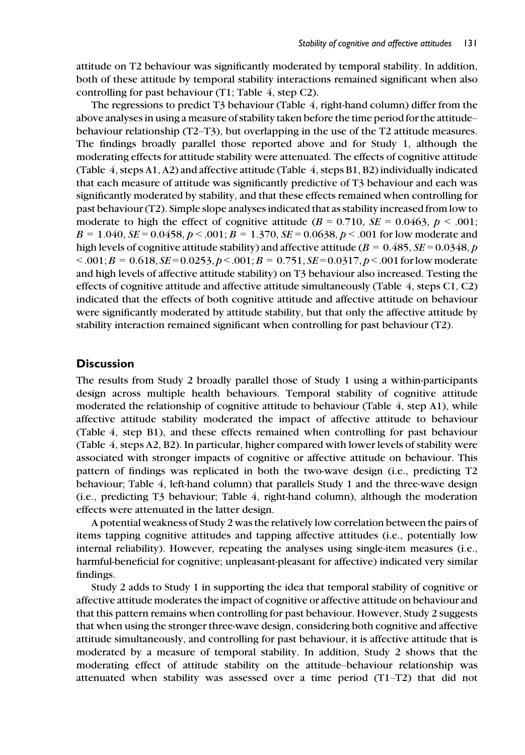attitude on T2 behaviour was significantly moderated by temporal stability. In addition, both of these attitude by temporal stability interactions remained significant when also controlling for past behaviour (T1; Table 4, step C2).

The regressions to predict T3 behaviour (Table 4, right-hand column) differ from the above analyses in using a measure of stability taken before the time period for the attitude– behaviour relationship (T2–T3), but overlapping in the use of the T2 attitude measures. The findings broadly parallel those reported above and for Study 1, although the moderating effects for attitude stability were attenuated. The effects of cognitive attitude (Table 4, steps A1, A2) and affective attitude (Table 4, steps B1, B2) individually indicated that each measure of attitude was significantly predictive of T3 behaviour and each was significantly moderated by stability, and that these effects remained when controlling for past behaviour (T2). Simple slope analyses indicated that as stability increased from low to moderate to high the effect of cognitive attitude ( $B = 0.710$ ,  $SE = 0.0463$ ,  $p < .001$ ;  $B = 1.040$ ,  $SE = 0.0458$ ,  $p < .001$ ;  $B = 1.370$ ,  $SE = 0.0638$ ,  $p < .001$  for low moderate and high levels of cognitive attitude stability) and affective attitude ( $B = 0.485$ ,  $SE = 0.0348$ , p  $< .001; B = 0.618, SE = 0.0253, p < .001; B = 0.751, SE = 0.0317, p < .001$  for low moderate and high levels of affective attitude stability) on T3 behaviour also increased. Testing the effects of cognitive attitude and affective attitude simultaneously (Table 4, steps C1, C2) indicated that the effects of both cognitive attitude and affective attitude on behaviour were significantly moderated by attitude stability, but that only the affective attitude by stability interaction remained significant when controlling for past behaviour (T2).

#### **Discussion**

The results from Study 2 broadly parallel those of Study 1 using a within-participants design across multiple health behaviours. Temporal stability of cognitive attitude moderated the relationship of cognitive attitude to behaviour (Table 4, step A1), while affective attitude stability moderated the impact of affective attitude to behaviour (Table 4, step B1), and these effects remained when controlling for past behaviour (Table 4, steps A2, B2). In particular, higher compared with lower levels of stability were associated with stronger impacts of cognitive or affective attitude on behaviour. This pattern of findings was replicated in both the two-wave design (i.e., predicting T2 behaviour; Table 4, left-hand column) that parallels Study 1 and the three-wave design (i.e., predicting T3 behaviour; Table 4, right-hand column), although the moderation effects were attenuated in the latter design.

A potential weakness of Study 2 was the relatively low correlation between the pairs of items tapping cognitive attitudes and tapping affective attitudes (i.e., potentially low internal reliability). However, repeating the analyses using single-item measures (i.e., harmful-beneficial for cognitive; unpleasant-pleasant for affective) indicated very similar findings.

Study 2 adds to Study 1 in supporting the idea that temporal stability of cognitive or affective attitude moderates the impact of cognitive or affective attitude on behaviour and that this pattern remains when controlling for past behaviour. However, Study 2 suggests that when using the stronger three-wave design, considering both cognitive and affective attitude simultaneously, and controlling for past behaviour, it is affective attitude that is moderated by a measure of temporal stability. In addition, Study 2 shows that the moderating effect of attitude stability on the attitude–behaviour relationship was attenuated when stability was assessed over a time period (T1–T2) that did not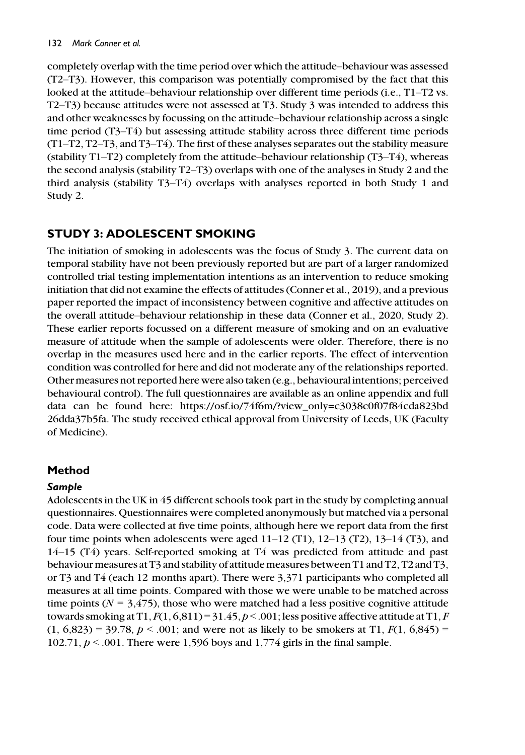completely overlap with the time period over which the attitude–behaviour was assessed (T2–T3). However, this comparison was potentially compromised by the fact that this looked at the attitude–behaviour relationship over different time periods (i.e., T1–T2 vs. T2–T3) because attitudes were not assessed at T3. Study 3 was intended to address this and other weaknesses by focussing on the attitude–behaviour relationship across a single time period (T3–T4) but assessing attitude stability across three different time periods (T1–T2, T2–T3, and T3–T4). The first of these analyses separates out the stability measure (stability  $T1-T2$ ) completely from the attitude–behaviour relationship  $(T3-T4)$ , whereas the second analysis (stability T2–T3) overlaps with one of the analyses in Study 2 and the third analysis (stability T3–T4) overlaps with analyses reported in both Study 1 and Study 2.

# STUDY 3: ADOLESCENT SMOKING

The initiation of smoking in adolescents was the focus of Study 3. The current data on temporal stability have not been previously reported but are part of a larger randomized controlled trial testing implementation intentions as an intervention to reduce smoking initiation that did not examine the effects of attitudes (Conner et al., 2019), and a previous paper reported the impact of inconsistency between cognitive and affective attitudes on the overall attitude–behaviour relationship in these data (Conner et al., 2020, Study 2). These earlier reports focussed on a different measure of smoking and on an evaluative measure of attitude when the sample of adolescents were older. Therefore, there is no overlap in the measures used here and in the earlier reports. The effect of intervention condition was controlled for here and did not moderate any of the relationships reported. Other measures not reported here were also taken (e.g., behavioural intentions; perceived behavioural control). The full questionnaires are available as an online appendix and full data can be found here: [https://osf.io/74f6m/?view\\_only=c3038c0f07f84cda823bd](https://osf.io/74f6m/?view_only=c3038c0f07f84cda823bd26dda37b5fa) [26dda37b5fa](https://osf.io/74f6m/?view_only=c3038c0f07f84cda823bd26dda37b5fa). The study received ethical approval from University of Leeds, UK (Faculty of Medicine).

# Method

# Sample

Adolescents in the UK in 45 different schools took part in the study by completing annual questionnaires. Questionnaires were completed anonymously but matched via a personal code. Data were collected at five time points, although here we report data from the first four time points when adolescents were aged  $11-12$  (T1),  $12-13$  (T2),  $13-14$  (T3), and 14–15 (T4) years. Self-reported smoking at T4 was predicted from attitude and past behaviour measures at T3 and stability of attitude measures between T1 and T2, T2 and T3, or T3 and T4 (each 12 months apart). There were 3,371 participants who completed all measures at all time points. Compared with those we were unable to be matched across time points ( $N = 3,475$ ), those who were matched had a less positive cognitive attitude towards smoking at T1,  $F(1, 6, 811) = 31.45, p < .001$ ; less positive affective attitude at T1, F  $(1, 6,823) = 39.78$ ,  $p < .001$ ; and were not as likely to be smokers at T1,  $F(1, 6,845) =$ 102.71,  $p < .001$ . There were 1,596 boys and 1,774 girls in the final sample.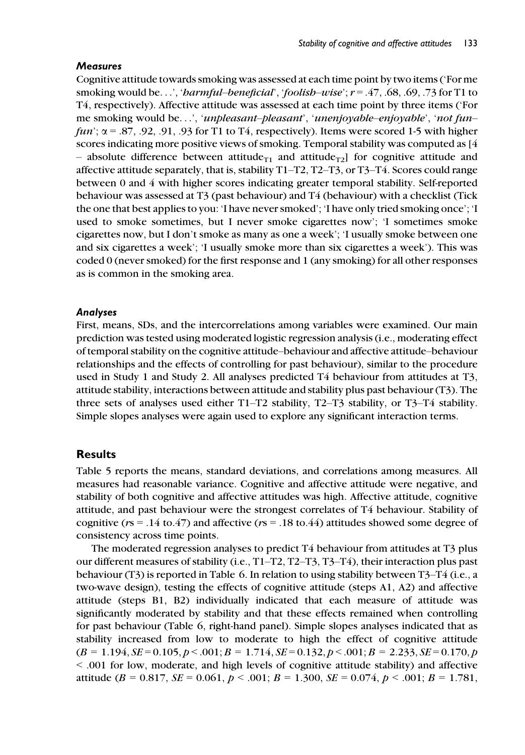#### **Measures**

Cognitive attitude towards smoking was assessed at each time point by two items ('For me smoking would be...', '*harmful–beneficial'*, '*foolish–wise'*;  $r = .47, .68, .69, .73$  for T1 to T4, respectively). Affective attitude was assessed at each time point by three items ('For me smoking would be...', 'unpleasant–pleasant', 'unenjoyable–enjoyable', 'not fun– fun';  $\alpha$  = .87, .92, .91, .93 for T1 to T4, respectively). Items were scored 1-5 with higher scores indicating more positive views of smoking. Temporal stability was computed as [4 – absolute difference between attitude<sub>T1</sub> and attitude<sub>T2</sub> for cognitive attitude and affective attitude separately, that is, stability T1–T2, T2–T3, or T3–T4. Scores could range between 0 and 4 with higher scores indicating greater temporal stability. Self-reported behaviour was assessed at T3 (past behaviour) and T4 (behaviour) with a checklist (Tick the one that best applies to you: 'I have never smoked'; 'I have only tried smoking once'; 'I used to smoke sometimes, but I never smoke cigarettes now'; 'I sometimes smoke cigarettes now, but I don't smoke as many as one a week'; 'I usually smoke between one and six cigarettes a week'; 'I usually smoke more than six cigarettes a week'). This was coded 0 (never smoked) for the first response and 1 (any smoking) for all other responses as is common in the smoking area.

#### Analyses

First, means, SDs, and the intercorrelations among variables were examined. Our main prediction was tested using moderated logistic regression analysis (i.e., moderating effect of temporal stability on the cognitive attitude–behaviour and affective attitude–behaviour relationships and the effects of controlling for past behaviour), similar to the procedure used in Study 1 and Study 2. All analyses predicted T4 behaviour from attitudes at T3, attitude stability, interactions between attitude and stability plus past behaviour (T3). The three sets of analyses used either T1–T2 stability, T2–T3 stability, or T3–T4 stability. Simple slopes analyses were again used to explore any significant interaction terms.

#### Results

Table 5 reports the means, standard deviations, and correlations among measures. All measures had reasonable variance. Cognitive and affective attitude were negative, and stability of both cognitive and affective attitudes was high. Affective attitude, cognitive attitude, and past behaviour were the strongest correlates of T4 behaviour. Stability of cognitive ( $rs = .14$  to.47) and affective ( $rs = .18$  to.44) attitudes showed some degree of consistency across time points.

The moderated regression analyses to predict T4 behaviour from attitudes at T3 plus our different measures of stability (i.e., T1–T2, T2–T3, T3–T4), their interaction plus past behaviour (T3) is reported in Table 6. In relation to using stability between T3–T4 (i.e., a two-wave design), testing the effects of cognitive attitude (steps A1, A2) and affective attitude (steps B1, B2) individually indicated that each measure of attitude was significantly moderated by stability and that these effects remained when controlling for past behaviour (Table 6, right-hand panel). Simple slopes analyses indicated that as stability increased from low to moderate to high the effect of cognitive attitude  $(B = 1.194, SE = 0.105, p < .001; B = 1.714, SE = 0.132, p < .001; B = 2.233, SE = 0.170, p$ < .001 for low, moderate, and high levels of cognitive attitude stability) and affective attitude ( $B = 0.817$ ,  $SE = 0.061$ ,  $p < .001$ ;  $B = 1.300$ ,  $SE = 0.074$ ,  $p < .001$ ;  $B = 1.781$ ,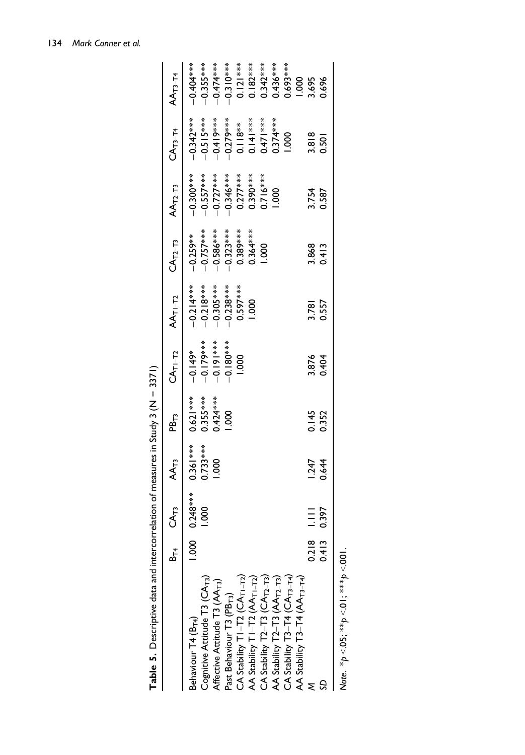|                                                                                                                                                                                                                                                      | <u>ል</u><br>ሚ                  | CA <sub>T3</sub>             | $AA_{T3}$                | PB <sub>T3</sub>                                      | $CA_{T1-T2}$                            | $AA$ <sub><math>T1-T2</math></sub>                                            | $CA_{T2-T3}$                                                                                       | $AA_{T2-T3}$                                                                                                     | $CA_{T3-T4}$     | $AA_{T3-T4}$                                                                                                                                                                                                                                                                                                                     |
|------------------------------------------------------------------------------------------------------------------------------------------------------------------------------------------------------------------------------------------------------|--------------------------------|------------------------------|--------------------------|-------------------------------------------------------|-----------------------------------------|-------------------------------------------------------------------------------|----------------------------------------------------------------------------------------------------|------------------------------------------------------------------------------------------------------------------|------------------|----------------------------------------------------------------------------------------------------------------------------------------------------------------------------------------------------------------------------------------------------------------------------------------------------------------------------------|
| AA Stability TI-T2 (AA <sub>TI-T2</sub> )<br>Cognitive Attitude T3 $(CA_{T3})$<br>$CA$ Stability $T1 - T2$ ( $CA_{T1-T2}$ )<br>Affective Attitude T3 (AA <sub>T3</sub> )<br>Past Behaviour T3 (PB <sub>T3</sub> )<br>Behaviour T4 (B <sub>T4</sub> ) | $\frac{8}{100}$                | $0.248***$<br>$\overline{0}$ | $0.361***$<br>$0.733***$ | $0.621***$<br>$0.355***$<br>0.424***<br>$\frac{8}{2}$ | $-0.179***$<br>$-0.180***$<br>$-0.149*$ | $-0.214***$<br>$-0.218***$<br>$-0.305***$<br>$-0.238***$<br>0.597***<br>1.000 | $-0.757***$<br>$-0.586***$<br>$-0.323***$<br>$-0.389***$<br>$0.364***$<br>$0.364***$<br>$-0.259**$ | $-0.300***$<br>$-0.557***$<br>$-0.727***$<br>$-0.346***$<br>$0.277***$<br>$0.390***$<br>$0.716***$<br>$0.716***$ | $-0.342***$      | $\begin{array}{r} -0.355***\\ -0.474***\\ -0.510***\\ -0.310***\\ -0.121***\\ -0.121***\\ -0.121***\\ -0.121***\\ -0.121***\\ -0.121***\\ -0.050***\\ -0.050*\\ -0.050*\\ -0.050*\\ -0.050*\\ -0.050*\\ -0.050*\\ -0.050*\\ -0.050*\\ -0.050*\\ -0.050*\\ -0.050*\\ -0.050*\\ -0.050*\\ -0.050*\\ -0.050*\\ -0.05$<br>$-0.404**$ |
| CA Stability T3-T4 (CA <sub>T3-T4</sub> )<br>CA Stability T2-T3 $(CA_{T2-T3})$<br>AA Stability T2-T3 $(AA_{T2-T3})$<br>AA Stability T3-T4 (AA <sub>T3-T4</sub> )                                                                                     |                                |                              |                          |                                                       |                                         |                                                                               |                                                                                                    |                                                                                                                  |                  |                                                                                                                                                                                                                                                                                                                                  |
|                                                                                                                                                                                                                                                      | $\infty$<br>02l<br>$rac{4}{5}$ | 0.397                        | $1.247$<br>0.644         | 0.145<br>0.352                                        | 3.876<br>0.404                          | 3.781<br>0.557                                                                | 3.868<br>0.413                                                                                     | 3.754<br>0.587                                                                                                   | $3.818$<br>0.501 |                                                                                                                                                                                                                                                                                                                                  |
| Note. * $p <$ 05; ** $p <$ 01; *** $p <$ 001.                                                                                                                                                                                                        |                                |                              |                          |                                                       |                                         |                                                                               |                                                                                                    |                                                                                                                  |                  |                                                                                                                                                                                                                                                                                                                                  |

Table 5. Descriptive data and intercorrelation of measures in Study 3 ( $N = 3371$ ) Table 5. Descriptive data and intercorrelation of measures in Study 3 (N = 3371)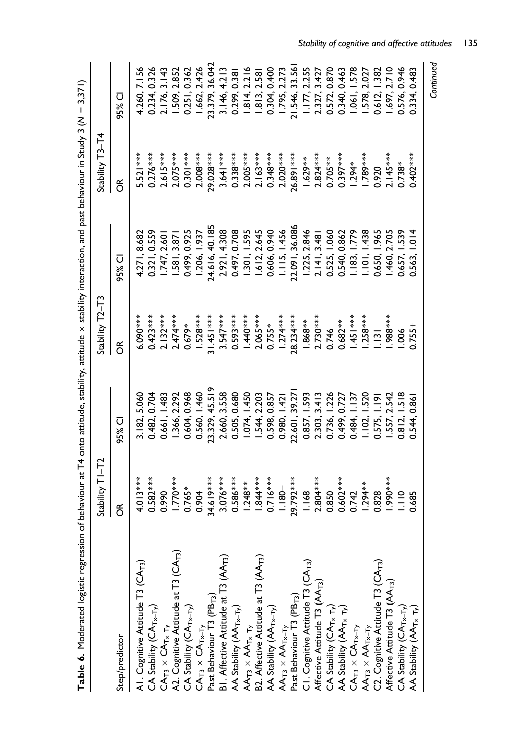| Table 6. Moderated logistic regression of behaviour at T4 onto attitude, stability, attitude × stability interaction, and past behaviour in Study 3 (N = 3,371)                                                                                                       |                     |                           |                 |                  |                 |                |
|-----------------------------------------------------------------------------------------------------------------------------------------------------------------------------------------------------------------------------------------------------------------------|---------------------|---------------------------|-----------------|------------------|-----------------|----------------|
|                                                                                                                                                                                                                                                                       | Stability $T1 - T2$ |                           | Stability T2-T3 |                  | Stability T3-T4 |                |
| Step/predictor                                                                                                                                                                                                                                                        | õ                   | 95% CI                    | ő               | 95% CI           | ő               | 95% CI         |
|                                                                                                                                                                                                                                                                       | $4.013***$          | 3.182, 5.060              | 6.090***        | 4.271, 8.682     | 5.521 ***       | 4.260, 7.156   |
| A I . Cognitive Attitude T3 (CA <sub>T3</sub> )<br>CA Stability (CA <sub>Tx-Ty</sub> )                                                                                                                                                                                | $0.582***$          | 0.482, 0.704              | $0.423***$      | 0.321, 0.559     | $0.276***$      | 0.234, 0.326   |
|                                                                                                                                                                                                                                                                       | 0.990               | 0.661, 1.483              | $2.132***$      | 1.747, 2.60      | $2.615***$      | 2.176, 3.143   |
|                                                                                                                                                                                                                                                                       | '770***             | 1.366, 2.292              | $2.474***$      | 1.581, 3.87      | $2.075***$      | 1.509, 2.852   |
| $\begin{array}{l} C\mathsf{A}_{13}\times C\mathsf{A}_{1\times -1\gamma}\\ \mathsf{A2.}\ \mathsf{C} \mathsf{ognitive}\ \mathsf{Article}\ \mathsf{at}\ \mathsf{T3}\ (\mathsf{CA}_{13})\\ C\mathsf{A}\ \mathsf{Stability}\ (\mathsf{CA}_{1\times -1\gamma}) \end{array}$ | $0.765*$            | 0.604, 0.968              | $0.679*$        | 0.499, 0.925     | $0.301***$      | 0.251, 0.362   |
| $\begin{split} &\mathsf{CA}_{\mathsf{T3}}\times\mathsf{CA}_{\mathsf{T}\times\mathsf{T}\mathsf{y}}\ &\mathsf{Past}\ \mathsf{Behaviour}\ \mathsf{T3}\ (\mathsf{PB}_{\mathsf{T3}}) \end{split}$                                                                          | 0.904               | 0.560, 1.460              | $1.528***$      | 1.206, 1.937     | $2.008***$      | 1.662, 2.426   |
|                                                                                                                                                                                                                                                                       | 34.619***           | 23.329, 45.519            | $31.451***$     | 24.616, 40.185   | 29.028***       | 23.379, 36.042 |
| B1. Affective Attitude at T3 (AA <sub>T3</sub> )                                                                                                                                                                                                                      | $3.076***$          | 2.660, 3.558              | $3.547***$      | 2.921, 4.308     | $3.641***$      | 3.146, 4.213   |
| AA Stability (AA <sub>Tx-Ty</sub> )                                                                                                                                                                                                                                   | $0.586***$          | 0.505, 0.680              | $0.593***$      | 0.497, 0.708     | $0.338***$      | 0.299, 0.381   |
|                                                                                                                                                                                                                                                                       | $1.248**$           | 1.074, 1.450              | $1.440***$      | 1.301, 1.595     | $2.005***$      | 1.814, 2.216   |
| $\begin{array}{l} \mathsf{AA_{T3}}\times \mathsf{AA_{Tx-Ty}} \ \mathsf{B2.\,} \mathsf{A}\mathsf{f}\mathsf{eccive}\ \mathsf{Attude}\ \mathsf{at}\ \mathsf{T3}\ (\mathsf{AA_{T3}}) \end{array}$                                                                         | $1.844***$          | 1.544, 2.203              | $2.065***$      | 1.612, 2.645     | $2.163***$      | 1.813, 2.581   |
| AA Stability (AA <sub>Tx-Ty</sub> )                                                                                                                                                                                                                                   | $0.716***$          | 0.598, 0.857              | $0.755*$        | 0.606, 0.940     | $0.348***$      | 0.304, 0.400   |
|                                                                                                                                                                                                                                                                       | $1.180 +$           | 0.980, 1.421              | $1.274***$      | 1.115, 1.456     | $2.020***$      | 1.795, 2.273   |
| $\begin{array}{l} \mathsf{AA_{T3}} \times \mathsf{AA_{Tx-Ty}}\\ \mathsf{Fast Behavior T3 (PB_{T3})} \end{array}$                                                                                                                                                      | 29.792***           | 22.601, 39.27             | 28.234***       | 22.091, 36.086   | 26.89   ***     | 21.546, 33.56  |
| CI. Cognitive Attitude T3 (CA <sub>T3</sub> )                                                                                                                                                                                                                         | 1.168               | 0.857, 1.593              | $1.868**$       | 1.225, 2.846     | $1.629**$       | 1.177, 2.255   |
| Affective Attitude T3 (AA <sub>T3</sub> )<br>CA Stability (CA <sub>Tx-Ty</sub> )<br>AA Stability (AA <sub>Tx-Ty</sub> )<br>CA <sub>T3</sub> × CA <sub>Tx-Ty</sub>                                                                                                     | $2.804***$          | 2.303, 3.413              | $2.730***$      | 2.141, 3.481     | $2.824***$      | 2.327, 3.427   |
|                                                                                                                                                                                                                                                                       | 0.850               | 0.736, 1.226              | 0.746           | 0.525, 1.060     | $0.705**$       | 0.572, 0.870   |
|                                                                                                                                                                                                                                                                       | $0.602***$          | 0.499, 0.727              | $0.682**$       | 0.540, 0.862     | $0.397***$      | 0.340, 0.463   |
|                                                                                                                                                                                                                                                                       | 0.742               | $\frac{137}{1}$<br>0.484, | $-15$   ***     | 1.183, 1.779     | $1.294*$        | 1.061, 1.578   |
|                                                                                                                                                                                                                                                                       | $1.294***$          | 1.102, 1.520              | $.258***$       | 1.101, 1.438     | .789***         | 578, 2.027     |
| $\begin{array}{l} \mathsf{AA_{T3}} \times \mathsf{AA_{Tx-Ty}} \ \mathsf{C2.} \mathsf{Cognitive} \ \mathsf{Active} \ \mathsf{Title} \ \mathsf{T3} \ (\mathsf{CA_{T3}}) \end{array}$                                                                                    | 0.828               | $\frac{1}{2}$<br>0.575,   | $\frac{1}{2}$   | 1.965<br>0.650,  | 0.920           | 0.612, 1.382   |
| Affective Attitude T3 (AA <sub>T3</sub> )                                                                                                                                                                                                                             | $**000$             | .557, 2.542               | ***88∉.         | 460, 2.705       | $2.145***$      | .697, 2.710    |
|                                                                                                                                                                                                                                                                       | $\frac{1}{2}$       | 0.812, 1.518              | 1.006           | 1.539<br>0.657,1 | $0.738*$        | 0.576, 0.946   |
| $\begin{array}{l} {\small \textsf{CA Stability (CA}_{T\times -T\gamma})}\\ \textsf{AA Stability (AA}_{T\times -T\gamma}) \end{array}$                                                                                                                                 | 0.685               | 0.544, 0.86               | $0.755+$        | 0.563, 1.014     | $0.402***$      | 0.334, 0.483   |
|                                                                                                                                                                                                                                                                       |                     |                           |                 |                  |                 | Continued      |

**Table 6.** Moderated logistic regression of behaviour at T4 onto attitude, stability, attitude  $\times$  $\times$  stability interaction, and past behaviour in Study 3 (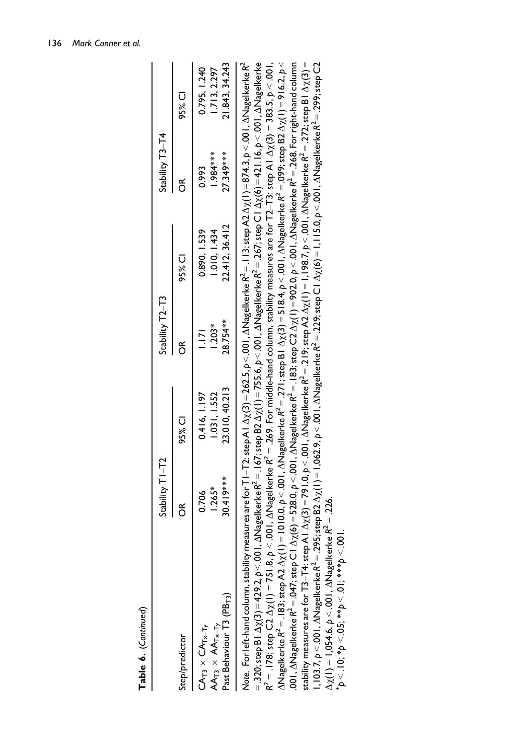|                                                                                                                                                                                                                                                                                                                                                                                                                                                                                                                                                                                                                                                                                                                                                                                                                                                                                                                                                                                                                                                                                                                                                                                                                                                                                                                                                                                                                                                    | Stability T1-T2              |                                                | Stability T2-T3               |                                                                                                                                                       | Stability T3-T4                  |                                                |
|----------------------------------------------------------------------------------------------------------------------------------------------------------------------------------------------------------------------------------------------------------------------------------------------------------------------------------------------------------------------------------------------------------------------------------------------------------------------------------------------------------------------------------------------------------------------------------------------------------------------------------------------------------------------------------------------------------------------------------------------------------------------------------------------------------------------------------------------------------------------------------------------------------------------------------------------------------------------------------------------------------------------------------------------------------------------------------------------------------------------------------------------------------------------------------------------------------------------------------------------------------------------------------------------------------------------------------------------------------------------------------------------------------------------------------------------------|------------------------------|------------------------------------------------|-------------------------------|-------------------------------------------------------------------------------------------------------------------------------------------------------|----------------------------------|------------------------------------------------|
| Step/predictor                                                                                                                                                                                                                                                                                                                                                                                                                                                                                                                                                                                                                                                                                                                                                                                                                                                                                                                                                                                                                                                                                                                                                                                                                                                                                                                                                                                                                                     | ర్                           | 95% CI                                         | ర్గ                           | 95% CI                                                                                                                                                | ర్                               | 95% CI                                         |
| Past Behaviour T3 (PB <sub>T3</sub> )<br>$AA_{T3} \times AA_{Tx-Ty}$<br>$CA_{T3} \times CA_{T \times -T \gamma}$                                                                                                                                                                                                                                                                                                                                                                                                                                                                                                                                                                                                                                                                                                                                                                                                                                                                                                                                                                                                                                                                                                                                                                                                                                                                                                                                   | 30.419***<br>1.265*<br>0.706 | 23.010, 40.213<br>0.416, 1.197<br>1.031, 1.552 | 28.754**<br>$1.203*$<br>1.171 | 22.412, 36.412<br>0.890, 1.539<br>1.010, 1.434                                                                                                        | $1.984***$<br>27.349***<br>0.993 | 21.843, 34.243<br>0.795, 1.240<br>1.713, 2.297 |
| Note. For left-hand column, stability measures are for T1-T2: step A1 $\Delta\chi(3)$ = 262.5, p < .001, $\Delta$ Nagelkerke $R^2$ = .113; step A2 $\Delta\chi(l)$ = 874.3, p < .001, $\Delta$ Nagelkerke $R^2$<br>= .320; step B   $\Delta\chi(3)$ = 429.2, p < .001 , $\Delta$ Nagelkerke $R^4$ = .167; step B2 $\Delta\chi(1)$ = 755.6, p < .001, $\Delta$ Nagelkerke $R^4$ = .267; step C   $\Delta\chi(6)$ = 421.16, p < .001, $\Delta$ Nagelkerke<br>$R^2 = 178$ ; step C2 $\Delta\chi(1) = 751.8$ , $p < .001$ , $\Delta$ Nagelkerke $R^2 = .26$ 9. For middle-hand column, stability measures are for $T2 - T3$ : step A I $\Delta\chi(3) = 383.5$ , $p < .001$ ,<br>001, ANagelkerke R <sup>2</sup> = .047; step C   Δχ(6) = 528.0, p < .001, ANagelkerke R <sup>2</sup> = .183; step C2 Δχ(1) = 902.0, p < .001, ANagelkerke R <sup>2</sup> = .268. For right-hand column<br>stability measures are for T3–T4: step A I $\Delta\chi(3)$ = 791.0, p < .001, $\Delta$ Nagelkerke R <sup>2</sup> = .219; step A2 $\Delta\chi(1)$ = 1, 198.7, p < .001, $\Delta$ Nagelkerke R <sup>2</sup> = .272; step B I $\Delta\chi(3)$ =<br>I, 103.7, p < .001, $\Delta$ Nagelkerke R $^{\prime}$ = .295; step B2 $\Delta\chi(1)$ = 1,062.9, p < .001, $\Delta$ Nagelkerke R $^{\prime}$ = .229; step $\Box$ 1, 115.0, p < .001, $\Delta$ Nagelkerke R $^{\prime}$ = .299; step C2<br>$\Delta$ Nagelkerke R $^{\prime}$ = .183; step A2 $\Delta\chi(l)$ |                              |                                                |                               | = 1010.0, p < .001, ΔNagelkerke R <sup>4</sup> = .271; step B1 Δχ(3) = 518.4, p < .001, ΔNagelkerke R <sup>4</sup> = .099; step B2 Δχ(1) = 916.2, p < |                                  |                                                |

Table 6. (Continued)

Table 6. (Continued)

| ့်<br>II<br>J<br>¢<br>C | ့်                                                |
|-------------------------|---------------------------------------------------|
| $\ddot{\bm{z}}$<br>č    | <b>****</b><br>;<br>ċ<br>$*$<br>l,<br>í<br>ن<br>ح |
|                         |                                                   |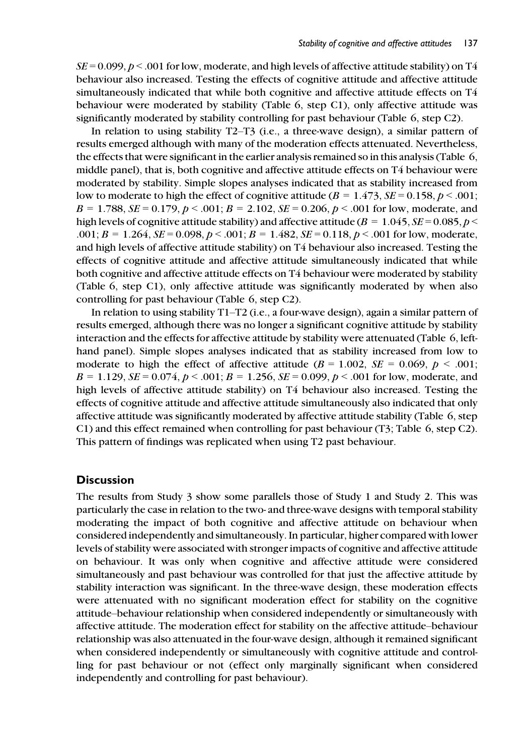$SE = 0.099$ ,  $p < .001$  for low, moderate, and high levels of affective attitude stability) on T4 behaviour also increased. Testing the effects of cognitive attitude and affective attitude simultaneously indicated that while both cognitive and affective attitude effects on T4 behaviour were moderated by stability (Table 6, step C1), only affective attitude was significantly moderated by stability controlling for past behaviour (Table 6, step C2).

In relation to using stability T2–T3 (i.e., a three-wave design), a similar pattern of results emerged although with many of the moderation effects attenuated. Nevertheless, the effects that were significant in the earlier analysis remained so in this analysis (Table 6, middle panel), that is, both cognitive and affective attitude effects on T4 behaviour were moderated by stability. Simple slopes analyses indicated that as stability increased from low to moderate to high the effect of cognitive attitude ( $B = 1.473$ ,  $SE = 0.158$ ,  $p < .001$ ;  $B = 1.788$ ,  $SE = 0.179$ ,  $p < .001$ ;  $B = 2.102$ ,  $SE = 0.206$ ,  $p < .001$  for low, moderate, and high levels of cognitive attitude stability) and affective attitude ( $B = 1.045$ ,  $SE = 0.085$ ,  $p <$ .001;  $B = 1.264$ ,  $SE = 0.098$ ,  $p < .001$ ;  $B = 1.482$ ,  $SE = 0.118$ ,  $p < .001$  for low, moderate, and high levels of affective attitude stability) on T4 behaviour also increased. Testing the effects of cognitive attitude and affective attitude simultaneously indicated that while both cognitive and affective attitude effects on T4 behaviour were moderated by stability (Table 6, step C1), only affective attitude was significantly moderated by when also controlling for past behaviour (Table 6, step C2).

In relation to using stability T1–T2 (i.e., a four-wave design), again a similar pattern of results emerged, although there was no longer a significant cognitive attitude by stability interaction and the effects for affective attitude by stability were attenuated (Table 6, lefthand panel). Simple slopes analyses indicated that as stability increased from low to moderate to high the effect of affective attitude ( $B = 1.002$ ,  $SE = 0.069$ ,  $p < .001$ ;  $B = 1.129$ ,  $SE = 0.074$ ,  $p < .001$ ;  $B = 1.256$ ,  $SE = 0.099$ ,  $p < .001$  for low, moderate, and high levels of affective attitude stability) on T4 behaviour also increased. Testing the effects of cognitive attitude and affective attitude simultaneously also indicated that only affective attitude was significantly moderated by affective attitude stability (Table 6, step C1) and this effect remained when controlling for past behaviour (T3; Table 6, step C2). This pattern of findings was replicated when using T2 past behaviour.

#### **Discussion**

The results from Study 3 show some parallels those of Study 1 and Study 2. This was particularly the case in relation to the two- and three-wave designs with temporal stability moderating the impact of both cognitive and affective attitude on behaviour when considered independently and simultaneously. In particular, higher compared with lower levels of stability were associated with stronger impacts of cognitive and affective attitude on behaviour. It was only when cognitive and affective attitude were considered simultaneously and past behaviour was controlled for that just the affective attitude by stability interaction was significant. In the three-wave design, these moderation effects were attenuated with no significant moderation effect for stability on the cognitive attitude–behaviour relationship when considered independently or simultaneously with affective attitude. The moderation effect for stability on the affective attitude–behaviour relationship was also attenuated in the four-wave design, although it remained significant when considered independently or simultaneously with cognitive attitude and controlling for past behaviour or not (effect only marginally significant when considered independently and controlling for past behaviour).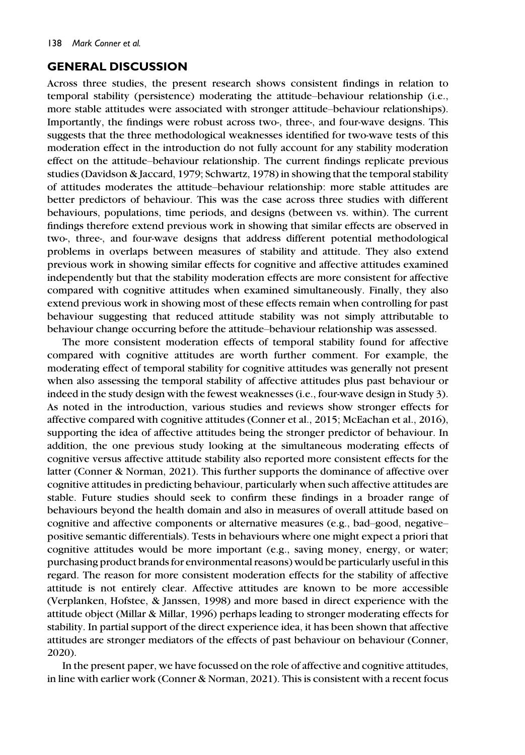#### GENERAL DISCUSSION

Across three studies, the present research shows consistent findings in relation to temporal stability (persistence) moderating the attitude–behaviour relationship (i.e., more stable attitudes were associated with stronger attitude–behaviour relationships). Importantly, the findings were robust across two-, three-, and four-wave designs. This suggests that the three methodological weaknesses identified for two-wave tests of this moderation effect in the introduction do not fully account for any stability moderation effect on the attitude–behaviour relationship. The current findings replicate previous studies (Davidson & Jaccard, 1979; Schwartz, 1978) in showing that the temporal stability of attitudes moderates the attitude–behaviour relationship: more stable attitudes are better predictors of behaviour. This was the case across three studies with different behaviours, populations, time periods, and designs (between vs. within). The current findings therefore extend previous work in showing that similar effects are observed in two-, three-, and four-wave designs that address different potential methodological problems in overlaps between measures of stability and attitude. They also extend previous work in showing similar effects for cognitive and affective attitudes examined independently but that the stability moderation effects are more consistent for affective compared with cognitive attitudes when examined simultaneously. Finally, they also extend previous work in showing most of these effects remain when controlling for past behaviour suggesting that reduced attitude stability was not simply attributable to behaviour change occurring before the attitude–behaviour relationship was assessed.

The more consistent moderation effects of temporal stability found for affective compared with cognitive attitudes are worth further comment. For example, the moderating effect of temporal stability for cognitive attitudes was generally not present when also assessing the temporal stability of affective attitudes plus past behaviour or indeed in the study design with the fewest weaknesses (i.e., four-wave design in Study 3). As noted in the introduction, various studies and reviews show stronger effects for affective compared with cognitive attitudes (Conner et al., 2015; McEachan et al., 2016), supporting the idea of affective attitudes being the stronger predictor of behaviour. In addition, the one previous study looking at the simultaneous moderating effects of cognitive versus affective attitude stability also reported more consistent effects for the latter (Conner & Norman, 2021). This further supports the dominance of affective over cognitive attitudes in predicting behaviour, particularly when such affective attitudes are stable. Future studies should seek to confirm these findings in a broader range of behaviours beyond the health domain and also in measures of overall attitude based on cognitive and affective components or alternative measures (e.g., bad–good, negative– positive semantic differentials). Tests in behaviours where one might expect a priori that cognitive attitudes would be more important (e.g., saving money, energy, or water; purchasing product brands for environmental reasons) would be particularly useful in this regard. The reason for more consistent moderation effects for the stability of affective attitude is not entirely clear. Affective attitudes are known to be more accessible (Verplanken, Hofstee, & Janssen, 1998) and more based in direct experience with the attitude object (Millar & Millar, 1996) perhaps leading to stronger moderating effects for stability. In partial support of the direct experience idea, it has been shown that affective attitudes are stronger mediators of the effects of past behaviour on behaviour (Conner, 2020).

In the present paper, we have focussed on the role of affective and cognitive attitudes, in line with earlier work (Conner & Norman, 2021). This is consistent with a recent focus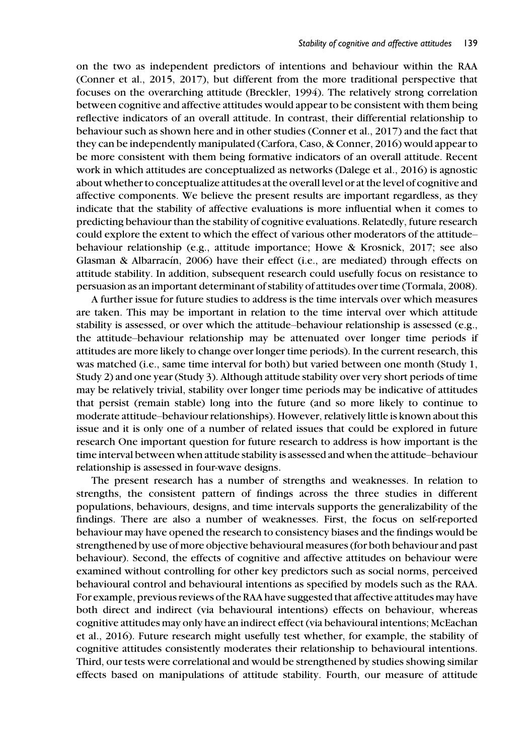on the two as independent predictors of intentions and behaviour within the RAA (Conner et al., 2015, 2017), but different from the more traditional perspective that focuses on the overarching attitude (Breckler, 1994). The relatively strong correlation between cognitive and affective attitudes would appear to be consistent with them being reflective indicators of an overall attitude. In contrast, their differential relationship to behaviour such as shown here and in other studies (Conner et al., 2017) and the fact that they can be independently manipulated (Carfora, Caso, & Conner, 2016) would appear to be more consistent with them being formative indicators of an overall attitude. Recent work in which attitudes are conceptualized as networks (Dalege et al., 2016) is agnostic about whether to conceptualize attitudes at the overall level or at the level of cognitive and affective components. We believe the present results are important regardless, as they indicate that the stability of affective evaluations is more influential when it comes to predicting behaviour than the stability of cognitive evaluations. Relatedly, future research could explore the extent to which the effect of various other moderators of the attitude– behaviour relationship (e.g., attitude importance; Howe & Krosnick, 2017; see also Glasman & Albarracín, 2006) have their effect (i.e., are mediated) through effects on attitude stability. In addition, subsequent research could usefully focus on resistance to persuasion as an important determinant of stability of attitudes over time (Tormala, 2008).

A further issue for future studies to address is the time intervals over which measures are taken. This may be important in relation to the time interval over which attitude stability is assessed, or over which the attitude–behaviour relationship is assessed (e.g., the attitude–behaviour relationship may be attenuated over longer time periods if attitudes are more likely to change over longer time periods). In the current research, this was matched (i.e., same time interval for both) but varied between one month (Study 1, Study 2) and one year (Study 3). Although attitude stability over very short periods of time may be relatively trivial, stability over longer time periods may be indicative of attitudes that persist (remain stable) long into the future (and so more likely to continue to moderate attitude–behaviour relationships). However, relatively little is known about this issue and it is only one of a number of related issues that could be explored in future research One important question for future research to address is how important is the time interval between when attitude stability is assessed and when the attitude–behaviour relationship is assessed in four-wave designs.

The present research has a number of strengths and weaknesses. In relation to strengths, the consistent pattern of findings across the three studies in different populations, behaviours, designs, and time intervals supports the generalizability of the findings. There are also a number of weaknesses. First, the focus on self-reported behaviour may have opened the research to consistency biases and the findings would be strengthened by use of more objective behavioural measures (for both behaviour and past behaviour). Second, the effects of cognitive and affective attitudes on behaviour were examined without controlling for other key predictors such as social norms, perceived behavioural control and behavioural intentions as specified by models such as the RAA. For example, previous reviews of the RAA have suggested that affective attitudes may have both direct and indirect (via behavioural intentions) effects on behaviour, whereas cognitive attitudes may only have an indirect effect (via behavioural intentions; McEachan et al., 2016). Future research might usefully test whether, for example, the stability of cognitive attitudes consistently moderates their relationship to behavioural intentions. Third, our tests were correlational and would be strengthened by studies showing similar effects based on manipulations of attitude stability. Fourth, our measure of attitude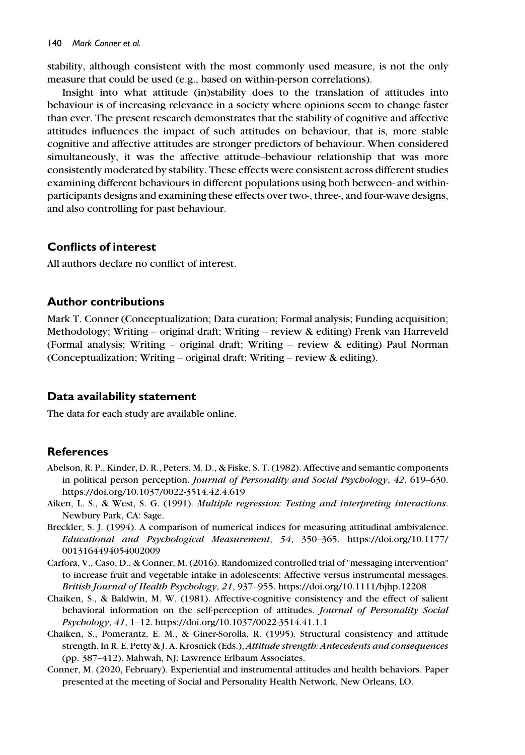stability, although consistent with the most commonly used measure, is not the only measure that could be used (e.g., based on within-person correlations).

Insight into what attitude (in)stability does to the translation of attitudes into behaviour is of increasing relevance in a society where opinions seem to change faster than ever. The present research demonstrates that the stability of cognitive and affective attitudes influences the impact of such attitudes on behaviour, that is, more stable cognitive and affective attitudes are stronger predictors of behaviour. When considered simultaneously, it was the affective attitude–behaviour relationship that was more consistently moderated by stability. These effects were consistent across different studies examining different behaviours in different populations using both between- and withinparticipants designs and examining these effects over two-, three-, and four-wave designs, and also controlling for past behaviour.

#### Conflicts of interest

All authors declare no conflict of interest.

#### Author contributions

Mark T. Conner (Conceptualization; Data curation; Formal analysis; Funding acquisition; Methodology; Writing – original draft; Writing – review & editing) Frenk van Harreveld (Formal analysis; Writing – original draft; Writing – review & editing) Paul Norman (Conceptualization; Writing – original draft; Writing – review & editing).

# Data availability statement

The data for each study are available online.

# **References**

- Abelson, R. P., Kinder, D. R., Peters, M. D., & Fiske, S. T. (1982). Affective and semantic components in political person perception. Journal of Personality and Social Psychology, 42, 619–630. <https://doi.org/10.1037/0022-3514.42.4.619>
- Aiken, L. S., & West, S. G. (1991). Multiple regression: Testing and interpreting interactions. Newbury Park, CA: Sage.
- Breckler, S. J. (1994). A comparison of numerical indices for measuring attitudinal ambivalence. Educational and Psychological Measurement, 54, 350–365. [https://doi.org/10.1177/](https://doi.org/10.1177/0013164494054002009) [0013164494054002009](https://doi.org/10.1177/0013164494054002009)
- Carfora, V., Caso, D., & Conner, M. (2016). Randomized controlled trial of "messaging intervention" to increase fruit and vegetable intake in adolescents: Affective versus instrumental messages. British Journal of Health Psychology, 21, 937–955.<https://doi.org/10.1111/bjhp.12208>
- Chaiken, S., & Baldwin, M. W. (1981). Affective-cognitive consistency and the effect of salient behavioral information on the self-perception of attitudes. Journal of Personality Social Psychology, 41, 1–12.<https://doi.org/10.1037/0022-3514.41.1.1>
- Chaiken, S., Pomerantz, E. M., & Giner-Sorolla, R. (1995). Structural consistency and attitude strength. In R. E. Petty & J. A. Krosnick (Eds.), Attitude strength: Antecedents and consequences (pp. 387–412). Mahwah, NJ: Lawrence Erlbaum Associates.
- Conner, M. (2020, February). Experiential and instrumental attitudes and health behaviors. Paper presented at the meeting of Social and Personality Health Network, New Orleans, LO.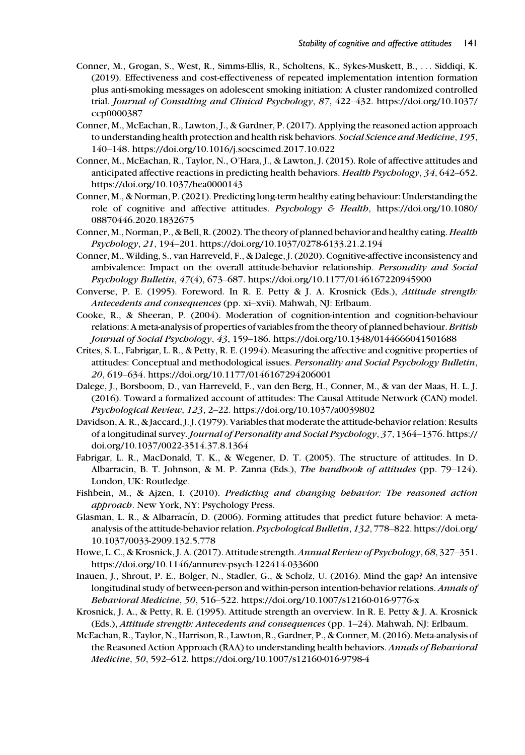- Conner, M., Grogan, S., West, R., Simms-Ellis, R., Scholtens, K., Sykes-Muskett, B., ... Siddiqi, K. (2019). Effectiveness and cost-effectiveness of repeated implementation intention formation plus anti-smoking messages on adolescent smoking initiation: A cluster randomized controlled trial. Journal of Consulting and Clinical Psychology, 87, 422–432. [https://doi.org/10.1037/](https://doi.org/10.1037/ccp0000387) [ccp0000387](https://doi.org/10.1037/ccp0000387)
- Conner, M., McEachan, R., Lawton, J., & Gardner, P. (2017). Applying the reasoned action approach to understanding health protection and health risk behaviors. Social Science and Medicine, 195, 140–148.<https://doi.org/10.1016/j.socscimed.2017.10.022>
- Conner, M., McEachan, R., Taylor, N., O'Hara, J., & Lawton, J. (2015). Role of affective attitudes and anticipated affective reactions in predicting health behaviors. Health Psychology, 34, 642–652. <https://doi.org/10.1037/hea0000143>
- Conner, M., & Norman, P. (2021). Predicting long-term healthy eating behaviour: Understanding the role of cognitive and affective attitudes. Psychology & Health, [https://doi.org/10.1080/](https://doi.org/10.1080/08870446.2020.1832675) [08870446.2020.1832675](https://doi.org/10.1080/08870446.2020.1832675)
- Conner, M., Norman, P., & Bell, R. (2002). The theory of planned behavior and healthy eating. Health Psychology, 21, 194–201.<https://doi.org/10.1037/0278-6133.21.2.194>
- Conner, M., Wilding, S., van Harreveld, F., & Dalege, J. (2020). Cognitive-affective inconsistency and ambivalence: Impact on the overall attitude-behavior relationship. Personality and Social Psychology Bulletin, 47(4), 673–687.<https://doi.org/10.1177/0146167220945900>
- Converse, P. E. (1995). Foreword. In R. E. Petty & J. A. Krosnick (Eds.), Attitude strength: Antecedents and consequences (pp. xi–xvii). Mahwah, NJ: Erlbaum.
- Cooke, R., & Sheeran, P. (2004). Moderation of cognition-intention and cognition-behaviour relations: A meta-analysis of properties of variables from the theory of planned behaviour. British Journal of Social Psychology, 43, 159–186.<https://doi.org/10.1348/0144666041501688>
- Crites, S. L., Fabrigar, L. R., & Petty, R. E. (1994). Measuring the affective and cognitive properties of attitudes: Conceptual and methodological issues. Personality and Social Psychology Bulletin, 20, 619–634.<https://doi.org/10.1177/0146167294206001>
- Dalege, J., Borsboom, D., van Harreveld, F., van den Berg, H., Conner, M., & van der Maas, H. L. J. (2016). Toward a formalized account of attitudes: The Causal Attitude Network (CAN) model. Psychological Review, 123, 2–22.<https://doi.org/10.1037/a0039802>
- Davidson, A. R., & Jaccard, J. J. (1979). Variables that moderate the attitude-behavior relation: Results of a longitudinal survey. Journal of Personality and Social Psychology, 37, 1364–1376. [https://](https://doi.org/10.1037/0022-3514.37.8.1364) [doi.org/10.1037/0022-3514.37.8.1364](https://doi.org/10.1037/0022-3514.37.8.1364)
- Fabrigar, L. R., MacDonald, T. K., & Wegener, D. T. (2005). The structure of attitudes. In D. Albarracin, B. T. Johnson, & M. P. Zanna (Eds.), The handbook of attitudes (pp. 79–124). London, UK: Routledge.
- Fishbein, M., & Ajzen, I. (2010). Predicting and changing behavior: The reasoned action approach. New York, NY: Psychology Press.
- Glasman, L. R., & Albarracín, D. (2006). Forming attitudes that predict future behavior: A metaanalysis of the attitude-behavior relation. Psychological Bulletin, 132, 778–822. [https://doi.org/](https://doi.org/10.1037/0033-2909.132.5.778) [10.1037/0033-2909.132.5.778](https://doi.org/10.1037/0033-2909.132.5.778)
- Howe, L. C., & Krosnick, J. A. (2017). Attitude strength. Annual Review of Psychology, 68, 327–351. <https://doi.org/10.1146/annurev-psych-122414-033600>
- Inauen, J., Shrout, P. E., Bolger, N., Stadler, G., & Scholz, U. (2016). Mind the gap? An intensive longitudinal study of between-person and within-person intention-behavior relations. Annals of Behavioral Medicine, 50, 516–522.<https://doi.org/10.1007/s12160-016-9776-x>
- Krosnick, J. A., & Petty, R. E. (1995). Attitude strength an overview. In R. E. Petty & J. A. Krosnick (Eds.), Attitude strength: Antecedents and consequences (pp. 1–24). Mahwah, NJ: Erlbaum.
- McEachan, R., Taylor, N., Harrison, R., Lawton, R., Gardner, P., & Conner, M. (2016). Meta-analysis of the Reasoned Action Approach (RAA) to understanding health behaviors. Annals of Behavioral Medicine, 50, 592–612.<https://doi.org/10.1007/s12160-016-9798-4>